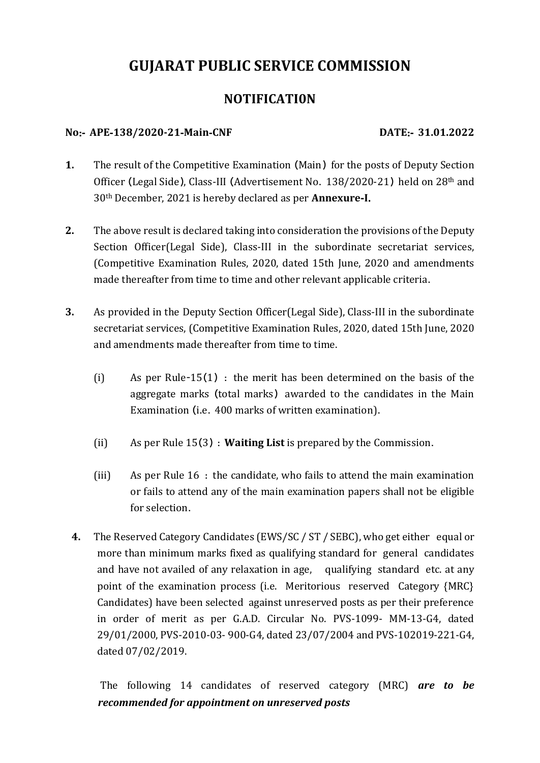# **GUJARAT PUBLIC SERVICE COMMISSION**

# **NOTIFICATI0N**

## **No**:‐ **APE**‐**138/2020-21**‐**Main**‐**CNF DATE**:‐ **31.01.2022**

- **1.** The result of the Competitive Examination (Main) for the posts of Deputy Section Officer (Legal Side), Class‐III (Advertisement No. 138/2020-21) held on 28th and 30th December, 2021 is hereby declared as per **Annexure**‐**I**.
- **2.** The above result is declared taking into consideration the provisions of the Deputy Section Officer(Legal Side), Class-III in the subordinate secretariat services, (Competitive Examination Rules, 2020, dated 15th June, 2020 and amendments made thereafter from time to time and other relevant applicable criteria.
- **3.** As provided in the Deputy Section Officer(Legal Side), Class-III in the subordinate secretariat services, (Competitive Examination Rules, 2020, dated 15th June, 2020 and amendments made thereafter from time to time.
	- (i) As per Rule-15(1) : the merit has been determined on the basis of the aggregate marks (total marks) awarded to the candidates in the Main Examination (i.e. 400 marks of written examination).
	- (ii) As per Rule 15(3) : **Waiting List** is prepared by the Commission.
	- (iii) As per Rule 16 : the candidate, who fails to attend the main examination or fails to attend any of the main examination papers shall not be eligible for selection.
	- **4.** The Reserved Category Candidates (EWS/SC / ST / SEBC), who get either equal or more than minimum marks fixed as qualifying standard for general candidates and have not availed of any relaxation in age, qualifying standard etc. at any point of the examination process (i.e. Meritorious reserved Category {MRC} Candidates) have been selected against unreserved posts as per their preference in order of merit as per G.A.D. Circular No. PVS-1099- MM-13-G4, dated 29/01/2000, PVS-2010-03- 900-G4, dated 23/07/2004 and PVS-102019-221-G4, dated 07/02/2019.

 The following 14 candidates of reserved category (MRC) *are to be recommended for appointment on unreserved posts*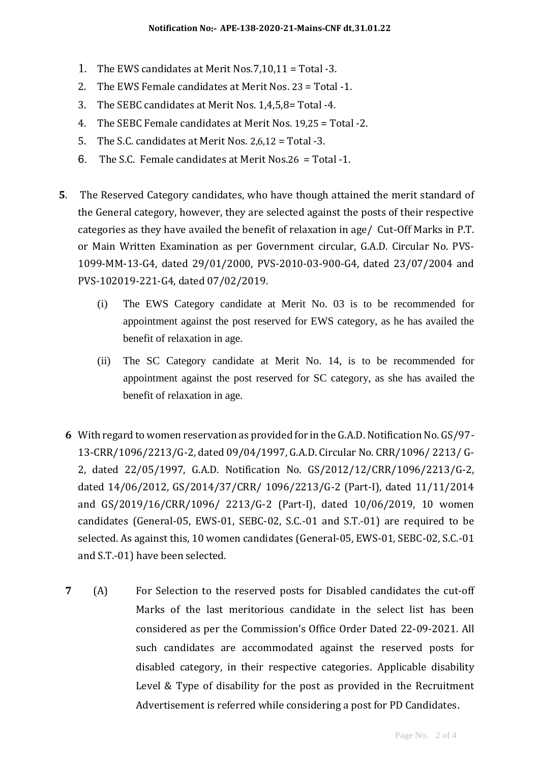- 1. The EWS candidates at Merit Nos.7,10,11 = Total -3.
- 2. The EWS Female candidates at Merit Nos. 23 = Total -1.
- 3. The SEBC candidates at Merit Nos. 1,4,5,8= Total -4.
- 4. The SEBC Female candidates at Merit Nos. 19,25 = Total -2.
- 5. The S.C. candidates at Merit Nos. 2,6,12 = Total -3.
- 6. The S.C. Female candidates at Merit Nos.26 = Total -1.
- **5**. The Reserved Category candidates, who have though attained the merit standard of the General category, however, they are selected against the posts of their respective categories as they have availed the benefit of relaxation in age/ Cut-Off Marks in P.T. or Main Written Examination as per Government circular, G.A.D. Circular No. PVS-1099-MM-13-G4, dated 29/01/2000, PVS-2010-03-900-G4, dated 23/07/2004 and PVS-102019-221-G4, dated 07/02/2019.
	- (i) The EWS Category candidate at Merit No. 03 is to be recommended for appointment against the post reserved for EWS category, as he has availed the benefit of relaxation in age.
	- (ii) The SC Category candidate at Merit No. 14, is to be recommended for appointment against the post reserved for SC category, as she has availed the benefit of relaxation in age.
	- **6** With regard to women reservation as provided for in the G.A.D. Notification No. GS/97- 13-CRR/1096/2213/G-2, dated 09/04/1997, G.A.D. Circular No. CRR/1096/ 2213/ G-2, dated 22/05/1997, G.A.D. Notification No. GS/2012/12/CRR/1096/2213/G-2, dated 14/06/2012, GS/2014/37/CRR/ 1096/2213/G-2 (Part-I), dated 11/11/2014 and GS/2019/16/CRR/1096/ 2213/G-2 (Part-I), dated 10/06/2019, 10 women candidates (General-05, EWS-01, SEBC-02, S.C.-01 and S.T.-01) are required to be selected. As against this, 10 women candidates (General-05, EWS-01, SEBC-02, S.C.-01 and S.T.-01) have been selected.
	- **7** (A) For Selection to the reserved posts for Disabled candidates the cut-off Marks of the last meritorious candidate in the select list has been considered as per the Commission's Office Order Dated 22-09-2021. All such candidates are accommodated against the reserved posts for disabled category, in their respective categories. Applicable disability Level & Type of disability for the post as provided in the Recruitment Advertisement is referred while considering a post for PD Candidates.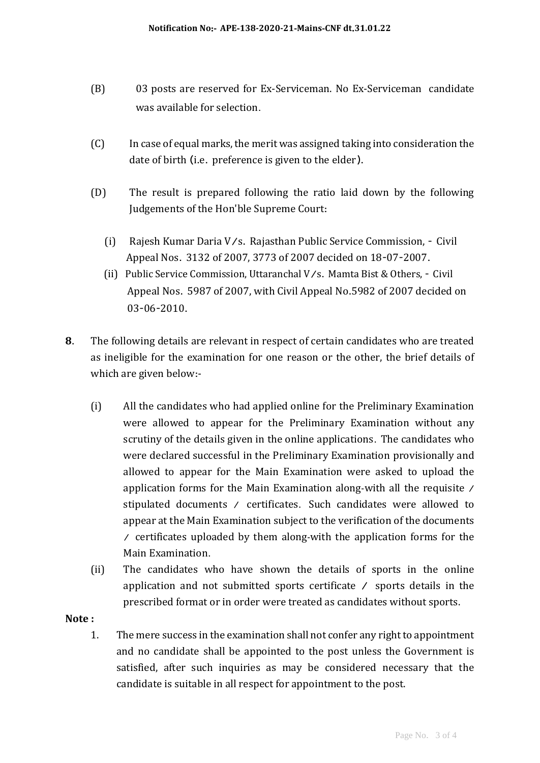- (B) 03 posts are reserved for Ex-Serviceman. No Ex-Serviceman candidate was available for selection.
- (C) In case of equal marks, the merit was assigned taking into consideration the date of birth (i.e. preference is given to the elder).
- (D) The result is prepared following the ratio laid down by the following Judgements of the Hon'ble Supreme Court:
	- (i) Rajesh Kumar Daria V/s. Rajasthan Public Service Commission, Civil Appeal Nos. 3132 of 2007, 3773 of 2007 decided on 18-07-2007.
	- (ii) Public Service Commission, Uttaranchal V/s. Mamta Bist & Others, Civil Appeal Nos. 5987 of 2007, with Civil Appeal No.5982 of 2007 decided on 03-06-2010.
- **8**. The following details are relevant in respect of certain candidates who are treated as ineligible for the examination for one reason or the other, the brief details of which are given below:‐
	- (i) All the candidates who had applied online for the Preliminary Examination were allowed to appear for the Preliminary Examination without any scrutiny of the details given in the online applications. The candidates who were declared successful in the Preliminary Examination provisionally and allowed to appear for the Main Examination were asked to upload the application forms for the Main Examination along‐with all the requisite / stipulated documents / certificates. Such candidates were allowed to appear at the Main Examination subject to the verification of the documents / certificates uploaded by them along‐with the application forms for the Main Examination.
	- (ii) The candidates who have shown the details of sports in the online application and not submitted sports certificate / sports details in the prescribed format or in order were treated as candidates without sports.

## **Note :**

1. The mere success in the examination shall not confer any right to appointment and no candidate shall be appointed to the post unless the Government is satisfied, after such inquiries as may be considered necessary that the candidate is suitable in all respect for appointment to the post.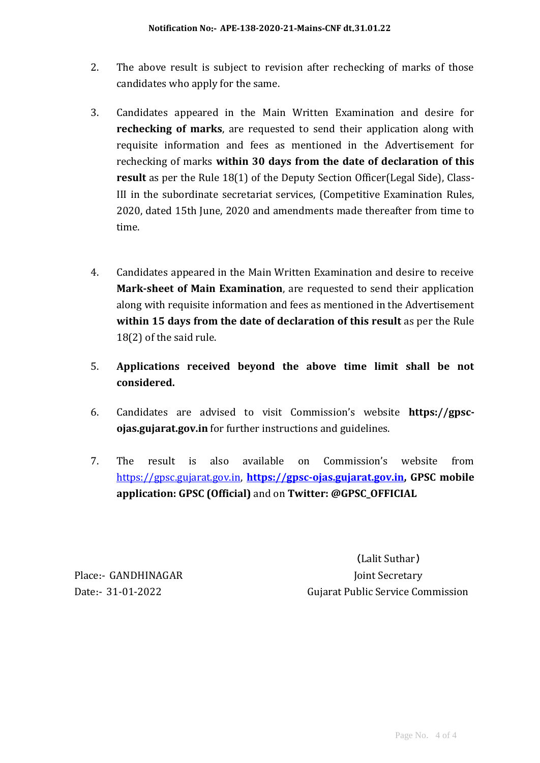- 2. The above result is subject to revision after rechecking of marks of those candidates who apply for the same.
- 3. Candidates appeared in the Main Written Examination and desire for **rechecking of marks**, are requested to send their application along with requisite information and fees as mentioned in the Advertisement for rechecking of marks **within 30 days from the date of declaration of this result** as per the Rule 18(1) of the Deputy Section Officer(Legal Side), Class-III in the subordinate secretariat services, (Competitive Examination Rules, 2020, dated 15th June, 2020 and amendments made thereafter from time to time.
- 4. Candidates appeared in the Main Written Examination and desire to receive **Mark-sheet of Main Examination**, are requested to send their application along with requisite information and fees as mentioned in the Advertisement **within 15 days from the date of declaration of this result** as per the Rule 18(2) of the said rule.
- 5. **Applications received beyond the above time limit shall be not considered.**
- 6. Candidates are advised to visit Commission's website **https://gpscojas.gujarat.gov.in** for further instructions and guidelines.
- 7. The result is also available on Commission's website from [https://gpsc.gujarat.gov.in,](https://gpsc.gujarat.gov.in/) **[https://gpsc-ojas.gujarat.gov.in,](https://gpsc-ojas.gujarat.gov.in/) GPSC mobile application: GPSC (Official)** and on **Twitter: @GPSC\_OFFICIAL**

(Lalit Suthar) Place:- GANDHINAGAR Joint Secretary Date:‐ 31-01-2022 Gujarat Public Service Commission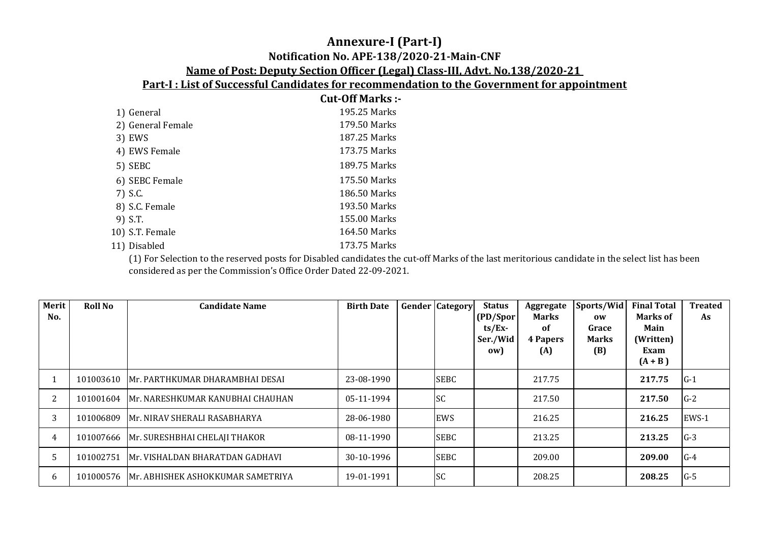# **Annexure-I (Part-I) Notification No. APE-138/2020-21-Main-CNF Name of Post: Deputy Section Officer (Legal) Class-III, Advt. No.138/2020-21**

**Part-I : List of Successful Candidates for recommendation to the Government for appointment**

|                   | <b>Cut-Off Marks:-</b> |
|-------------------|------------------------|
| 1) General        | 195.25 Marks           |
| 2) General Female | 179.50 Marks           |
| 3) EWS            | 187.25 Marks           |
| 4) EWS Female     | 173.75 Marks           |
| 5) SEBC           | 189.75 Marks           |
| 6) SEBC Female    | 175.50 Marks           |
| 7) S.C.           | 186.50 Marks           |
| 8) S.C. Female    | 193.50 Marks           |
| 9) S.T.           | 155.00 Marks           |
| 10) S.T. Female   | 164.50 Marks           |
| 11) Disabled      | 173.75 Marks           |

(1) For Selection to the reserved posts for Disabled candidates the cut-off Marks of the last meritorious candidate in the select list has been considered as per the Commission's Office Order Dated 22-09-2021.

| Merit<br>No.          | <b>Roll No</b> | <b>Candidate Name</b>                      | <b>Birth Date</b> | <b>Gender Category</b> | <b>Status</b><br>(PD/Spor<br>$ts/Ex$ -<br>Ser./Wid<br>(ow | Aggregate<br><b>Marks</b><br>0f<br><b>4 Papers</b><br>(A) | Sports/Wid<br>0W<br>Grace<br><b>Marks</b><br>(B) | <b>Final Total</b><br><b>Marks of</b><br>Main<br>(Written)<br>Exam<br>$(A + B)$ | <b>Treated</b><br>As |
|-----------------------|----------------|--------------------------------------------|-------------------|------------------------|-----------------------------------------------------------|-----------------------------------------------------------|--------------------------------------------------|---------------------------------------------------------------------------------|----------------------|
|                       |                | 101003610 Mr. PARTHKUMAR DHARAMBHAI DESAI  | 23-08-1990        | <b>SEBC</b>            |                                                           | 217.75                                                    |                                                  | 217.75                                                                          | $G-1$                |
| $\mathbf{2}^{\prime}$ |                | 101001604 Mr. NARESHKUMAR KANUBHAI CHAUHAN | 05-11-1994        | <b>SC</b>              |                                                           | 217.50                                                    |                                                  | 217.50                                                                          | $G-2$                |
| 3                     | 101006809      | Mr. NIRAV SHERALI RASABHARYA               | 28-06-1980        | EWS                    |                                                           | 216.25                                                    |                                                  | 216.25                                                                          | EWS-1                |
| 4                     |                | 101007666   Mr. SURESHBHAI CHELAJI THAKOR  | 08-11-1990        | <b>SEBC</b>            |                                                           | 213.25                                                    |                                                  | 213.25                                                                          | $G-3$                |
|                       | 101002751      | Mr. VISHALDAN BHARATDAN GADHAVI            | 30-10-1996        | <b>SEBC</b>            |                                                           | 209.00                                                    |                                                  | 209.00                                                                          | $G-4$                |
| 6                     | 101000576      | Mr. ABHISHEK ASHOKKUMAR SAMETRIYA          | 19-01-1991        | <b>SC</b>              |                                                           | 208.25                                                    |                                                  | 208.25                                                                          | $G-5$                |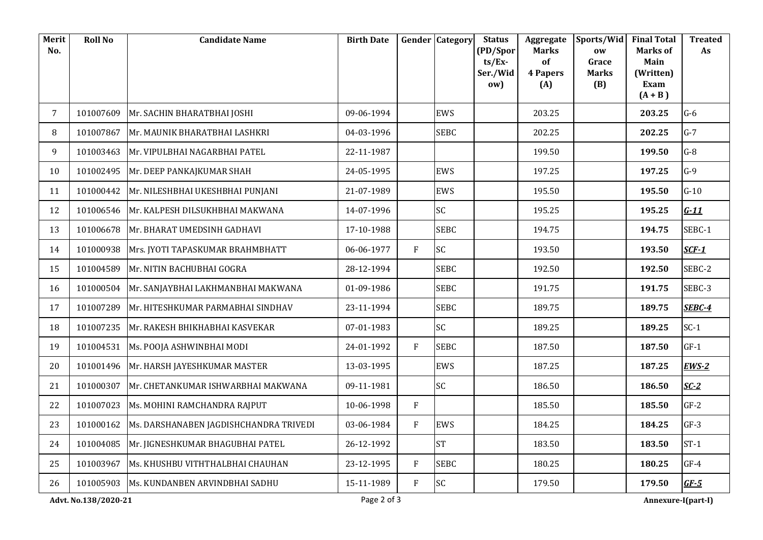| Merit<br>No.   | <b>Roll No</b>       | <b>Candidate Name</b>                  | <b>Birth Date</b> |                | <b>Gender Category</b> | <b>Status</b><br>(PD/Spor<br>$ts/Ex$ -<br>Ser./Wid<br>ow) | Aggregate<br><b>Marks</b><br>of<br><b>4 Papers</b><br>(A) | Sports/Wid<br>ow<br>Grace<br><b>Marks</b><br>(B) | <b>Final Total</b><br>Marks of<br>Main<br>(Written)<br>Exam<br>$(A + B)$ | <b>Treated</b><br>As |
|----------------|----------------------|----------------------------------------|-------------------|----------------|------------------------|-----------------------------------------------------------|-----------------------------------------------------------|--------------------------------------------------|--------------------------------------------------------------------------|----------------------|
| $\overline{7}$ | 101007609            | Mr. SACHIN BHARATBHAI JOSHI            | 09-06-1994        |                | EWS                    |                                                           | 203.25                                                    |                                                  | 203.25                                                                   | $G-6$                |
| 8              | 101007867            | Mr. MAUNIK BHARATBHAI LASHKRI          | 04-03-1996        |                | <b>SEBC</b>            |                                                           | 202.25                                                    |                                                  | 202.25                                                                   | $G-7$                |
| 9              | 101003463            | Mr. VIPULBHAI NAGARBHAI PATEL          | 22-11-1987        |                |                        |                                                           | 199.50                                                    |                                                  | 199.50                                                                   | $G-8$                |
| 10             | 101002495            | Mr. DEEP PANKAJKUMAR SHAH              | 24-05-1995        |                | <b>EWS</b>             |                                                           | 197.25                                                    |                                                  | 197.25                                                                   | $G-9$                |
| 11             | 101000442            | Mr. NILESHBHAI UKESHBHAI PUNJANI       | 21-07-1989        |                | EWS                    |                                                           | 195.50                                                    |                                                  | 195.50                                                                   | $G-10$               |
| 12             | 101006546            | Mr. KALPESH DILSUKHBHAI MAKWANA        | 14-07-1996        |                | SC                     |                                                           | 195.25                                                    |                                                  | 195.25                                                                   | $G-11$               |
| 13             | 101006678            | Mr. BHARAT UMEDSINH GADHAVI            | 17-10-1988        |                | <b>SEBC</b>            |                                                           | 194.75                                                    |                                                  | 194.75                                                                   | SEBC-1               |
| 14             | 101000938            | Mrs. JYOTI TAPASKUMAR BRAHMBHATT       | 06-06-1977        | F              | SC                     |                                                           | 193.50                                                    |                                                  | 193.50                                                                   | $SCF-1$              |
| 15             | 101004589            | Mr. NITIN BACHUBHAI GOGRA              | 28-12-1994        |                | <b>SEBC</b>            |                                                           | 192.50                                                    |                                                  | 192.50                                                                   | SEBC-2               |
| 16             | 101000504            | Mr. SANJAYBHAI LAKHMANBHAI MAKWANA     | 01-09-1986        |                | <b>SEBC</b>            |                                                           | 191.75                                                    |                                                  | 191.75                                                                   | SEBC-3               |
| 17             | 101007289            | Mr. HITESHKUMAR PARMABHAI SINDHAV      | 23-11-1994        |                | <b>SEBC</b>            |                                                           | 189.75                                                    |                                                  | 189.75                                                                   | SEBC-4               |
| 18             | 101007235            | Mr. RAKESH BHIKHABHAI KASVEKAR         | 07-01-1983        |                | SC                     |                                                           | 189.25                                                    |                                                  | 189.25                                                                   | $SC-1$               |
| 19             | 101004531            | Ms. POOJA ASHWINBHAI MODI              | 24-01-1992        | F              | <b>SEBC</b>            |                                                           | 187.50                                                    |                                                  | 187.50                                                                   | $GF-1$               |
| 20             | 101001496            | Mr. HARSH JAYESHKUMAR MASTER           | 13-03-1995        |                | EWS                    |                                                           | 187.25                                                    |                                                  | 187.25                                                                   | $EWS-2$              |
| 21             | 101000307            | Mr. CHETANKUMAR ISHWARBHAI MAKWANA     | 09-11-1981        |                | SC                     |                                                           | 186.50                                                    |                                                  | 186.50                                                                   | $SC-2$               |
| 22             | 101007023            | Ms. MOHINI RAMCHANDRA RAJPUT           | 10-06-1998        | $\overline{F}$ |                        |                                                           | 185.50                                                    |                                                  | 185.50                                                                   | $GF-2$               |
| 23             | 101000162            | Ms. DARSHANABEN JAGDISHCHANDRA TRIVEDI | 03-06-1984        | $\overline{F}$ | <b>EWS</b>             |                                                           | 184.25                                                    |                                                  | 184.25                                                                   | $GF-3$               |
| 24             | 101004085            | Mr. JIGNESHKUMAR BHAGUBHAI PATEL       | 26-12-1992        |                | <b>ST</b>              |                                                           | 183.50                                                    |                                                  | 183.50                                                                   | $ST-1$               |
| 25             | 101003967            | Ms. KHUSHBU VITHTHALBHAI CHAUHAN       | 23-12-1995        | F              | <b>SEBC</b>            |                                                           | 180.25                                                    |                                                  | 180.25                                                                   | $GF-4$               |
| 26             | 101005903            | Ms. KUNDANBEN ARVINDBHAI SADHU         | 15-11-1989        | F              | SC                     |                                                           | 179.50                                                    |                                                  | 179.50                                                                   | $GF-5$               |
|                | Advt. No.138/2020-21 |                                        | Page 2 of 3       |                |                        |                                                           |                                                           |                                                  | Annexure-I(part-I)                                                       |                      |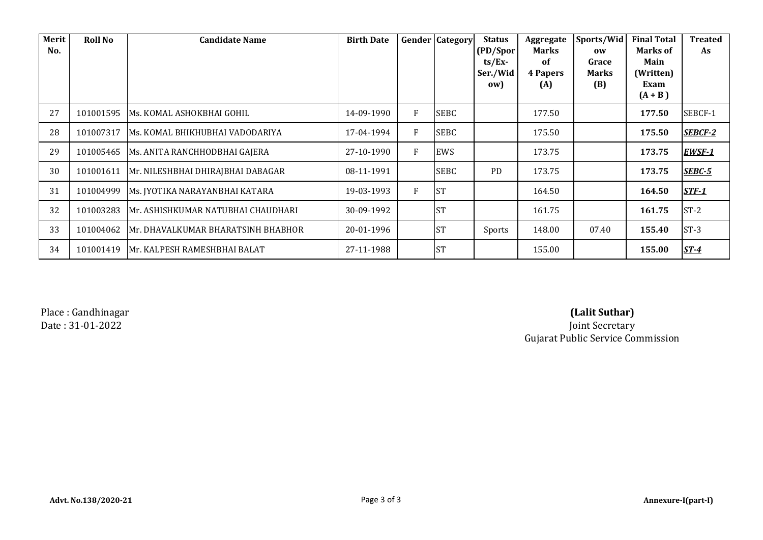| Merit<br>No. | <b>Roll No</b> | <b>Candidate Name</b>               | <b>Birth Date</b> |   | <b>Gender Category</b> | <b>Status</b><br>(PD/Spor<br>$ts/Ex$ -<br>Ser./Wid<br>ow) | Aggregate<br><b>Marks</b><br>0f<br><b>4 Papers</b><br>(A) | Sports/Wid<br><b>OW</b><br>Grace<br><b>Marks</b><br>(B) | <b>Final Total</b><br><b>Marks of</b><br>Main<br>(Written)<br>Exam<br>$(A + B)$ | <b>Treated</b><br>As |
|--------------|----------------|-------------------------------------|-------------------|---|------------------------|-----------------------------------------------------------|-----------------------------------------------------------|---------------------------------------------------------|---------------------------------------------------------------------------------|----------------------|
| 27           | 101001595      | IMs. KOMAL ASHOKBHAI GOHIL          | 14-09-1990        | F | <b>SEBC</b>            |                                                           | 177.50                                                    |                                                         | 177.50                                                                          | SEBCF-1              |
| 28           | 101007317      | Ms. KOMAL BHIKHUBHAI VADODARIYA     | 17-04-1994        | F | <b>SEBC</b>            |                                                           | 175.50                                                    |                                                         | 175.50                                                                          | <b>SEBCF-2</b>       |
| 29           | 101005465      | Ms. ANITA RANCHHODBHAI GAJERA       | 27-10-1990        | F | EWS                    |                                                           | 173.75                                                    |                                                         | 173.75                                                                          | EWSF-1               |
| 30           | 101001611      | Mr. NILESHBHAI DHIRAJBHAI DABAGAR   | 08-11-1991        |   | <b>SEBC</b>            | <b>PD</b>                                                 | 173.75                                                    |                                                         | 173.75                                                                          | <b>SEBC-5</b>        |
| 31           | 101004999      | Ms. JYOTIKA NARAYANBHAI KATARA      | 19-03-1993        | F | <b>ST</b>              |                                                           | 164.50                                                    |                                                         | 164.50                                                                          | <b>STF-1</b>         |
| 32           | 101003283      | IMr. ASHISHKUMAR NATUBHAI CHAUDHARI | 30-09-1992        |   | <b>ST</b>              |                                                           | 161.75                                                    |                                                         | 161.75                                                                          | $ST-2$               |
| 33           | 101004062      | Mr. DHAVALKUMAR BHARATSINH BHABHOR  | 20-01-1996        |   | <b>ST</b>              | Sports                                                    | 148.00                                                    | 07.40                                                   | 155.40                                                                          | $ST-3$               |
| 34           | 101001419      | IMr. KALPESH RAMESHBHAI BALAT       | 27-11-1988        |   | <b>ST</b>              |                                                           | 155.00                                                    |                                                         | 155.00                                                                          | <u>ST-4</u>          |

Place : Gandhinagar

# **(Lalit Suthar)**

Date : 31-01-2022 Joint Secretary Gujarat Public Service Commission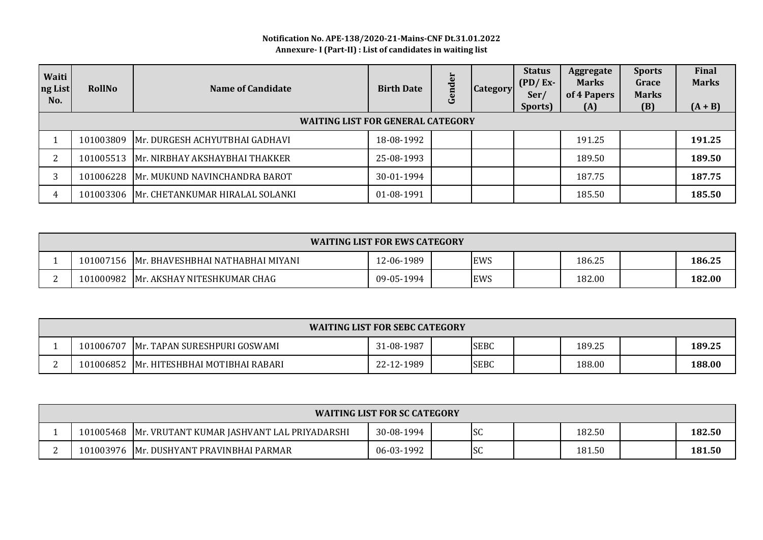### **Notification No. APE-138/2020-21-Mains-CNF Dt.31.01.2022 Annexure- I (Part-II) : List of candidates in waiting list**

| Waiti<br>ng List<br>No. | <b>RollNo</b>                            | Name of Candidate                         | <b>Birth Date</b> | der<br>Gen | <b>Category</b> | <b>Status</b><br>$(PD/Ex-$<br>Ser/<br>Sports) | Aggregate<br><b>Marks</b><br>of 4 Papers<br>(A) | <b>Sports</b><br>Grace<br><b>Marks</b><br>(B) | Final<br><b>Marks</b><br>$(A + B)$ |  |  |
|-------------------------|------------------------------------------|-------------------------------------------|-------------------|------------|-----------------|-----------------------------------------------|-------------------------------------------------|-----------------------------------------------|------------------------------------|--|--|
|                         | <b>WAITING LIST FOR GENERAL CATEGORY</b> |                                           |                   |            |                 |                                               |                                                 |                                               |                                    |  |  |
|                         | 101003809                                | Mr. DURGESH ACHYUTBHAI GADHAVI            | 18-08-1992        |            |                 |                                               | 191.25                                          |                                               | 191.25                             |  |  |
| ົາ                      |                                          | 101005513 Mr. NIRBHAY AKSHAYBHAI THAKKER  | 25-08-1993        |            |                 |                                               | 189.50                                          |                                               | 189.50                             |  |  |
| 3                       | 101006228                                | Mr. MUKUND NAVINCHANDRA BAROT             | 30-01-1994        |            |                 |                                               | 187.75                                          |                                               | 187.75                             |  |  |
| 4                       |                                          | 101003306 Mr. CHETANKUMAR HIRALAL SOLANKI | 01-08-1991        |            |                 |                                               | 185.50                                          |                                               | 185.50                             |  |  |

| <b>WAITING LIST FOR EWS CATEGORY</b> |                                  |            |  |     |  |        |  |        |  |
|--------------------------------------|----------------------------------|------------|--|-----|--|--------|--|--------|--|
| 101007156                            | Mr. BHAVESHBHAI NATHABHAI MIYANI | !2-06-1989 |  | EWS |  | 186.25 |  | 186.25 |  |
| 101000982                            | Mr. AKSHAY NITESHKUMAR CHAG      | 09-05-1994 |  | EWS |  | 182.00 |  | 182.00 |  |

| <b>WAITING LIST FOR SEBC CATEGORY</b>                                            |                                |            |  |             |  |        |  |        |  |
|----------------------------------------------------------------------------------|--------------------------------|------------|--|-------------|--|--------|--|--------|--|
| 189.25<br><b>SEBC</b><br>101006707<br>31-08-1987<br>Mr. TAPAN SURESHPURI GOSWAMI |                                |            |  |             |  |        |  | 189.25 |  |
| 101006852                                                                        | Mr. HITESHBHAI MOTIBHAI RABARI | 22-12-1989 |  | <b>SEBC</b> |  | 188.00 |  | 188.00 |  |

| <b>WAITING LIST FOR SC CATEGORY</b>                                                             |                                          |            |                                  |  |        |  |        |  |  |
|-------------------------------------------------------------------------------------------------|------------------------------------------|------------|----------------------------------|--|--------|--|--------|--|--|
| 182.50<br>182.50<br>lsc<br>101005468   Mr. VRUTANT KUMAR JASHVANT LAL PRIYADARSHI<br>30-08-1994 |                                          |            |                                  |  |        |  |        |  |  |
|                                                                                                 | 101003976 Mr. DUSHYANT PRAVINBHAI PARMAR | 06-03-1992 | $\overline{\mathsf{c}}$<br>1 J J |  | 181.50 |  | 181.50 |  |  |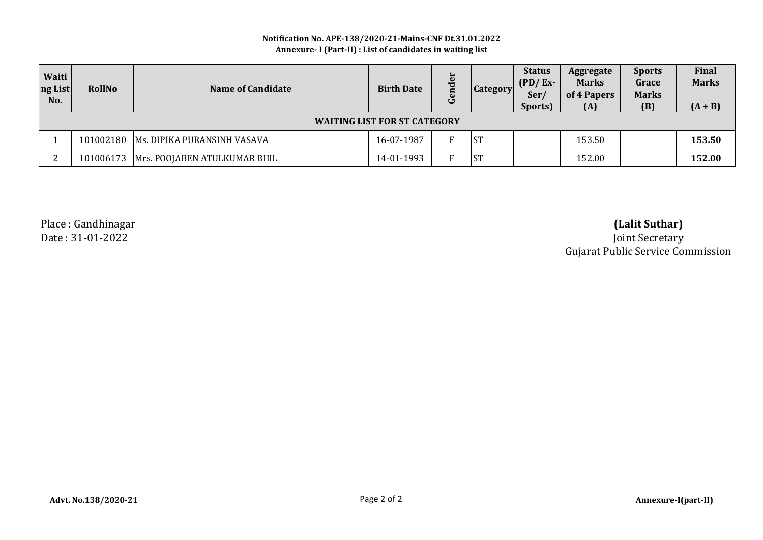#### **Notification No. APE-138/2020-21-Mains-CNF Dt.31.01.2022 Annexure- I (Part-II) : List of candidates in waiting list**

| Waiti<br>ng List<br>No. | <b>RollNo</b>                       | Name of Candidate                        | <b>Birth Date</b> | ٿ | <b>Category</b> | <b>Status</b><br>$(PD/Ex-$<br>Ser<br>Sports) | Aggregate<br><b>Marks</b><br>of 4 Papers<br>(A) | <b>Sports</b><br>Grace<br><b>Marks</b><br>(B) | Final<br><b>Marks</b><br>$(A + B)$ |  |
|-------------------------|-------------------------------------|------------------------------------------|-------------------|---|-----------------|----------------------------------------------|-------------------------------------------------|-----------------------------------------------|------------------------------------|--|
|                         | <b>WAITING LIST FOR ST CATEGORY</b> |                                          |                   |   |                 |                                              |                                                 |                                               |                                    |  |
|                         |                                     | 101002180 Ms. DIPIKA PURANSINH VASAVA    | 16-07-1987        |   | <b>ST</b>       |                                              | 153.50                                          |                                               | 153.50                             |  |
| n.                      |                                     | 101006173   Mrs. POOJABEN ATULKUMAR BHIL | 14-01-1993        |   | <b>ST</b>       |                                              | 152.00                                          |                                               | 152.00                             |  |

Place : Gandhinagar **(Lalit Suthar)**

Date : 31-01-2022 Joint Secretary Gujarat Public Service Commission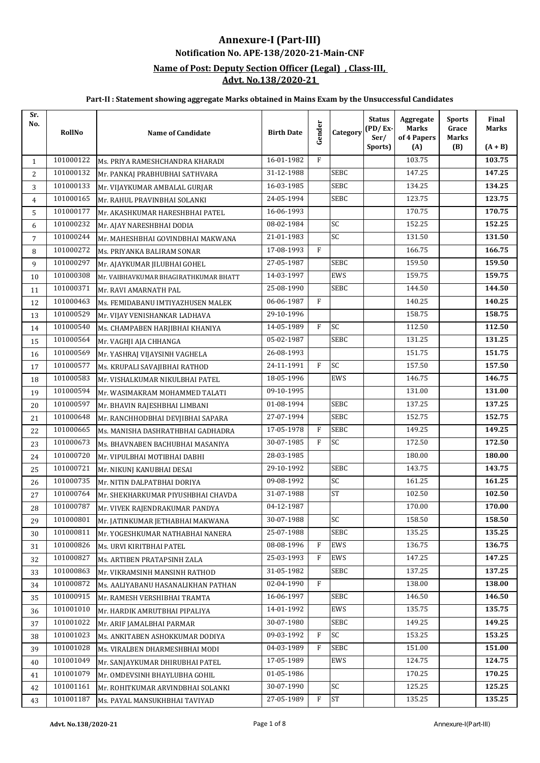## **Notification No. APE-138/2020-21-Main-CNF Annexure-I (Part-III)**

#### **Name of Post: Deputy Section Officer (Legal) , Class-III, Advt. No.138/2020-21**

| Sr.<br>No.     | RollNo    | <b>Name of Candidate</b>              | <b>Birth Date</b> | Gender | Category    | <b>Status</b><br>$(PD/Ex-$<br>Ser/<br>Sports) | Aggregate<br><b>Marks</b><br>of 4 Papers<br>(A) | <b>Sports</b><br>Grace<br><b>Marks</b><br>(B) | Final<br><b>Marks</b><br>$(A + B)$ |
|----------------|-----------|---------------------------------------|-------------------|--------|-------------|-----------------------------------------------|-------------------------------------------------|-----------------------------------------------|------------------------------------|
| $\mathbf{1}$   | 101000122 | Ms. PRIYA RAMESHCHANDRA KHARADI       | 16-01-1982        | F      |             |                                               | 103.75                                          |                                               | 103.75                             |
| $\overline{2}$ | 101000132 | Mr. PANKAJ PRABHUBHAI SATHVARA        | 31-12-1988        |        | <b>SEBC</b> |                                               | 147.25                                          |                                               | 147.25                             |
| 3              | 101000133 | Mr. VIJAYKUMAR AMBALAL GURJAR         | 16-03-1985        |        | SEBC        |                                               | 134.25                                          |                                               | 134.25                             |
| $\overline{4}$ | 101000165 | Mr. RAHUL PRAVINBHAI SOLANKI          | 24-05-1994        |        | <b>SEBC</b> |                                               | 123.75                                          |                                               | 123.75                             |
| 5              | 101000177 | Mr. AKASHKUMAR HARESHBHAI PATEL       | 16-06-1993        |        |             |                                               | 170.75                                          |                                               | 170.75                             |
| 6              | 101000232 | Mr. AJAY NARESHBHAI DODIA             | 08-02-1984        |        | SC          |                                               | 152.25                                          |                                               | 152.25                             |
| $\overline{7}$ | 101000244 | Mr. MAHESHBHAI GOVINDBHAI MAKWANA     | 21-01-1983        |        | SC          |                                               | 131.50                                          |                                               | 131.50                             |
| 8              | 101000272 | Ms. PRIYANKA BALIRAM SONAR            | 17-08-1993        | F      |             |                                               | 166.75                                          |                                               | 166.75                             |
| 9              | 101000297 | Mr. AJAYKUMAR JILUBHAI GOHEL          | 27-05-1987        |        | <b>SEBC</b> |                                               | 159.50                                          |                                               | 159.50                             |
| 10             | 101000308 | Mr. VAIBHAVKUMAR BHAGIRATHKUMAR BHATT | 14-03-1997        |        | EWS         |                                               | 159.75                                          |                                               | 159.75                             |
| 11             | 101000371 | Mr. RAVI AMARNATH PAL                 | 25-08-1990        |        | <b>SEBC</b> |                                               | 144.50                                          |                                               | 144.50                             |
| 12             | 101000463 | Ms. FEMIDABANU IMTIYAZHUSEN MALEK     | 06-06-1987        | F      |             |                                               | 140.25                                          |                                               | 140.25                             |
| 13             | 101000529 | Mr. VIJAY VENISHANKAR LADHAVA         | 29-10-1996        |        |             |                                               | 158.75                                          |                                               | 158.75                             |
| 14             | 101000540 | Ms. CHAMPABEN HARJIBHAI KHANIYA       | 14-05-1989        | F      | <b>SC</b>   |                                               | 112.50                                          |                                               | 112.50                             |
| 15             | 101000564 | Mr. VAGHJI AJA CHHANGA                | 05-02-1987        |        | <b>SEBC</b> |                                               | 131.25                                          |                                               | 131.25                             |
| 16             | 101000569 | Mr. YASHRAJ VIJAYSINH VAGHELA         | 26-08-1993        |        |             |                                               | 151.75                                          |                                               | 151.75                             |
| 17             | 101000577 | Ms. KRUPALI SAVAJIBHAI RATHOD         | 24-11-1991        | F      | <b>SC</b>   |                                               | 157.50                                          |                                               | 157.50                             |
| 18             | 101000583 | Mr. VISHALKUMAR NIKULBHAI PATEL       | 18-05-1996        |        | EWS         |                                               | 146.75                                          |                                               | 146.75                             |
| 19             | 101000594 | Mr. WASIMAKRAM MOHAMMED TALATI        | 09-10-1995        |        |             |                                               | 131.00                                          |                                               | 131.00                             |
| 20             | 101000597 | Mr. BHAVIN RAJESHBHAI LIMBANI         | 01-08-1994        |        | SEBC        |                                               | 137.25                                          |                                               | 137.25                             |
| 21             | 101000648 | Mr. RANCHHODBHAI DEVJIBHAI SAPARA     | 27-07-1994        |        | <b>SEBC</b> |                                               | 152.75                                          |                                               | 152.75                             |
| 22             | 101000665 | Ms. MANISHA DASHRATHBHAI GADHADRA     | 17-05-1978        | F      | <b>SEBC</b> |                                               | 149.25                                          |                                               | 149.25                             |
| 23             | 101000673 | Ms. BHAVNABEN BACHUBHAI MASANIYA      | 30-07-1985        | F      | <b>SC</b>   |                                               | 172.50                                          |                                               | 172.50                             |
| 24             | 101000720 | Mr. VIPULBHAI MOTIBHAI DABHI          | 28-03-1985        |        |             |                                               | 180.00                                          |                                               | 180.00                             |
| 25             | 101000721 | Mr. NIKUNJ KANUBHAI DESAI             | 29-10-1992        |        | <b>SEBC</b> |                                               | 143.75                                          |                                               | 143.75                             |
| 26             | 101000735 | Mr. NITIN DALPATBHAI DORIYA           | 09-08-1992        |        | SC          |                                               | 161.25                                          |                                               | 161.25                             |
| 27             | 101000764 | Mr. SHEKHARKUMAR PIYUSHBHAI CHAVDA    | 31-07-1988        |        | <b>ST</b>   |                                               | 102.50                                          |                                               | 102.50                             |
| 28             | 101000787 | Mr. VIVEK RAJENDRAKUMAR PANDYA        | 04-12-1987        |        |             |                                               | 170.00                                          |                                               | 170.00                             |
| 29             | 101000801 | Mr. JATINKUMAR JETHABHAI MAKWANA      | 30-07-1988        |        | <b>SC</b>   |                                               | 158.50                                          |                                               | 158.50                             |
| 30             | 101000811 | Mr. YOGESHKUMAR NATHABHAI NANERA      | 25-07-1988        |        | SEBC        |                                               | 135.25                                          |                                               | 135.25                             |
| 31             | 101000826 | Ms. URVI KIRITBHAI PATEL              | 08-08-1996        | F      | EWS         |                                               | 136.75                                          |                                               | 136.75                             |
| 32             | 101000827 | Ms. ARTIBEN PRATAPSINH ZALA           | 25-03-1993        | F      | EWS         |                                               | 147.25                                          |                                               | 147.25                             |
| 33             | 101000863 | Mr. VIKRAMSINH MANSINH RATHOD         | 31-05-1982        |        | SEBC        |                                               | 137.25                                          |                                               | 137.25                             |
| 34             | 101000872 | Ms. AALIYABANU HASANALIKHAN PATHAN    | 02-04-1990        | F      |             |                                               | 138.00                                          |                                               | 138.00                             |
| 35             | 101000915 | Mr. RAMESH VERSHIBHAI TRAMTA          | 16-06-1997        |        | <b>SEBC</b> |                                               | 146.50                                          |                                               | 146.50                             |
| 36             | 101001010 | Mr. HARDIK AMRUTBHAI PIPALIYA         | 14-01-1992        |        | EWS         |                                               | 135.75                                          |                                               | 135.75                             |
| 37             | 101001022 | Mr. ARIF JAMALBHAI PARMAR             | 30-07-1980        |        | <b>SEBC</b> |                                               | 149.25                                          |                                               | 149.25                             |
| 38             | 101001023 | Ms. ANKITABEN ASHOKKUMAR DODIYA       | 09-03-1992        | F      | SC          |                                               | 153.25                                          |                                               | 153.25                             |
| 39             | 101001028 | Ms. VIRALBEN DHARMESHBHAI MODI        | 04-03-1989        | F      | <b>SEBC</b> |                                               | 151.00                                          |                                               | 151.00                             |
| 40             | 101001049 | Mr. SANJAYKUMAR DHIRUBHAI PATEL       | 17-05-1989        |        | EWS         |                                               | 124.75                                          |                                               | 124.75                             |
| 41             | 101001079 | Mr. OMDEVSINH BHAYLUBHA GOHIL         | 01-05-1986        |        |             |                                               | 170.25                                          |                                               | 170.25                             |
| 42             | 101001161 | Mr. ROHITKUMAR ARVINDBHAI SOLANKI     | 30-07-1990        |        | SC          |                                               | 125.25                                          |                                               | 125.25                             |
| 43             | 101001187 | Ms. PAYAL MANSUKHBHAI TAVIYAD         | 27-05-1989        | F      | <b>ST</b>   |                                               | 135.25                                          |                                               | 135.25                             |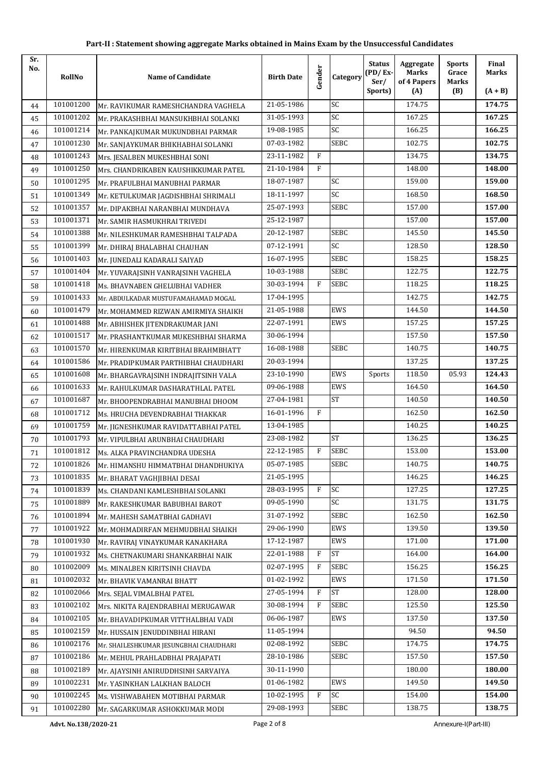| Sr.<br>No. | RollNo    | <b>Name of Candidate</b>               | <b>Birth Date</b> | Gender | Category    | <b>Status</b><br>$(PD/Ex-$<br>Ser/ | Aggregate<br><b>Marks</b><br>of 4 Papers | <b>Sports</b><br>Grace<br>Marks | Final<br><b>Marks</b> |
|------------|-----------|----------------------------------------|-------------------|--------|-------------|------------------------------------|------------------------------------------|---------------------------------|-----------------------|
|            |           |                                        |                   |        |             | Sports)                            | (A)                                      | (B)                             | $(A + B)$             |
| 44         | 101001200 | Mr. RAVIKUMAR RAMESHCHANDRA VAGHELA    | 21-05-1986        |        | SC          |                                    | 174.75                                   |                                 | 174.75                |
| 45         | 101001202 | Mr. PRAKASHBHAI MANSUKHBHAI SOLANKI    | 31-05-1993        |        | SC          |                                    | 167.25                                   |                                 | 167.25                |
| 46         | 101001214 | Mr. PANKAJKUMAR MUKUNDBHAI PARMAR      | 19-08-1985        |        | SC          |                                    | 166.25                                   |                                 | 166.25                |
| 47         | 101001230 | Mr. SANJAYKUMAR BHIKHABHAI SOLANKI     | 07-03-1982        |        | <b>SEBC</b> |                                    | 102.75                                   |                                 | 102.75                |
| 48         | 101001243 | Mrs. JESALBEN MUKESHBHAI SONI          | 23-11-1982        | F      |             |                                    | 134.75                                   |                                 | 134.75                |
| 49         | 101001250 | Mrs. CHANDRIKABEN KAUSHIKKUMAR PATEL   | 21-10-1984        | F      |             |                                    | 148.00                                   |                                 | 148.00                |
| 50         | 101001295 | Mr. PRAFULBHAI MANUBHAI PARMAR         | 18-07-1987        |        | <b>SC</b>   |                                    | 159.00                                   |                                 | 159.00                |
| 51         | 101001349 | Mr. KETULKUMAR JAGDISHBHAI SHRIMALI    | 18-11-1997        |        | SC          |                                    | 168.50                                   |                                 | 168.50                |
| 52         | 101001357 | Mr. DIPAKBHAI NARANBHAI MUNDHAVA       | 25-07-1993        |        | <b>SEBC</b> |                                    | 157.00                                   |                                 | 157.00                |
| 53         | 101001371 | Mr. SAMIR HASMUKHRAI TRIVEDI           | 25-12-1987        |        |             |                                    | 157.00                                   |                                 | 157.00                |
| 54         | 101001388 | Mr. NILESHKUMAR RAMESHBHAI TALPADA     | 20-12-1987        |        | <b>SEBC</b> |                                    | 145.50                                   |                                 | 145.50                |
| 55         | 101001399 | Mr. DHIRAJ BHALABHAI CHAUHAN           | 07-12-1991        |        | SC          |                                    | 128.50                                   |                                 | 128.50                |
| 56         | 101001403 | Mr. JUNEDALI KADARALI SAIYAD           | 16-07-1995        |        | SEBC        |                                    | 158.25                                   |                                 | 158.25                |
| 57         | 101001404 | Mr. YUVARAJSINH VANRAJSINH VAGHELA     | 10-03-1988        |        | <b>SEBC</b> |                                    | 122.75                                   |                                 | 122.75                |
| 58         | 101001418 | Ms. BHAVNABEN GHELUBHAI VADHER         | 30-03-1994        | F      | <b>SEBC</b> |                                    | 118.25                                   |                                 | 118.25                |
| 59         | 101001433 | Mr. ABDULKADAR MUSTUFAMAHAMAD MOGAL    | 17-04-1995        |        |             |                                    | 142.75                                   |                                 | 142.75                |
| 60         | 101001479 | Mr. MOHAMMED RIZWAN AMIRMIYA SHAIKH    | 21-05-1988        |        | <b>EWS</b>  |                                    | 144.50                                   |                                 | 144.50                |
| 61         | 101001488 | Mr. ABHISHEK JITENDRAKUMAR JANI        | 22-07-1991        |        | <b>EWS</b>  |                                    | 157.25                                   |                                 | 157.25                |
| 62         | 101001517 | Mr. PRASHANTKUMAR MUKESHBHAI SHARMA    | 30-06-1994        |        |             |                                    | 157.50                                   |                                 | 157.50                |
| 63         | 101001570 | Mr. HIRENKUMAR KIRITBHAI BRAHMBHATT    | 16-08-1988        |        | <b>SEBC</b> |                                    | 140.75                                   |                                 | 140.75                |
| 64         | 101001586 | Mr. PRADIPKUMAR PARTHIBHAI CHAUDHARI   | 20-03-1994        |        |             |                                    | 137.25                                   |                                 | 137.25                |
| 65         | 101001608 | Mr. BHARGAVRAJSINH INDRAJITSINH VALA   | 23-10-1990        |        | EWS         | Sports                             | 118.50                                   | 05.93                           | 124.43                |
| 66         | 101001633 | Mr. RAHULKUMAR DASHARATHLAL PATEL      | 09-06-1988        |        | <b>EWS</b>  |                                    | 164.50                                   |                                 | 164.50                |
| 67         | 101001687 | Mr. BHOOPENDRABHAI MANUBHAI DHOOM      | 27-04-1981        |        | <b>ST</b>   |                                    | 140.50                                   |                                 | 140.50                |
| 68         | 101001712 | Ms. HRUCHA DEVENDRABHAI THAKKAR        | 16-01-1996        | F      |             |                                    | 162.50                                   |                                 | 162.50                |
| 69         | 101001759 | Mr. JIGNESHKUMAR RAVIDATTABHAI PATEL   | 13-04-1985        |        |             |                                    | 140.25                                   |                                 | 140.25                |
| 70         | 101001793 | Mr. VIPULBHAI ARUNBHAI CHAUDHARI       | 23-08-1982        |        | <b>ST</b>   |                                    | 136.25                                   |                                 | 136.25                |
| 71         | 101001812 | Ms. ALKA PRAVINCHANDRA UDESHA          | 22-12-1985        | F      | SEBC        |                                    | 153.00                                   |                                 | 153.00                |
| 72         | 101001826 | Mr. HIMANSHU HIMMATBHAI DHANDHUKIYA    | 05-07-1985        |        | SEBC        |                                    | 140.75                                   |                                 | 140.75                |
| 73         | 101001835 | Mr. BHARAT VAGHJIBHAI DESAI            | 21-05-1995        |        |             |                                    | 146.25                                   |                                 | 146.25                |
| 74         | 101001839 | Ms. CHANDANI KAMLESHBHAI SOLANKI       | 28-03-1995        | F      | SC          |                                    | 127.25                                   |                                 | 127.25                |
| 75         | 101001889 | Mr. RAKESHKUMAR BABUBHAI BAROT         | 09-05-1990        |        | SC          |                                    | 131.75                                   |                                 | 131.75                |
| 76         | 101001894 | Mr. MAHESH SAMATBHAI GADHAVI           | 31-07-1992        |        | SEBC        |                                    | 162.50                                   |                                 | 162.50                |
| 77         | 101001922 | Mr. MOHMADIRFAN MEHMUDBHAI SHAIKH      | 29-06-1990        |        | EWS         |                                    | 139.50                                   |                                 | 139.50                |
| 78         | 101001930 | Mr. RAVIRAJ VINAYKUMAR KANAKHARA       | 17-12-1987        |        | EWS         |                                    | 171.00                                   |                                 | 171.00                |
| 79         | 101001932 | Ms. CHETNAKUMARI SHANKARBHAI NAIK      | 22-01-1988        | F      | <b>ST</b>   |                                    | 164.00                                   |                                 | 164.00                |
| 80         | 101002009 | Ms. MINALBEN KIRITSINH CHAVDA          | 02-07-1995        | F      | SEBC        |                                    | 156.25                                   |                                 | 156.25                |
| 81         | 101002032 | Mr. BHAVIK VAMANRAI BHATT              | 01-02-1992        |        | EWS         |                                    | 171.50                                   |                                 | 171.50                |
| 82         | 101002066 | Mrs. SEJAL VIMALBHAI PATEL             | 27-05-1994        | F      | <b>ST</b>   |                                    | 128.00                                   |                                 | 128.00                |
| 83         | 101002102 | Mrs. NIKITA RAJENDRABHAI MERUGAWAR     | 30-08-1994        | F      | SEBC        |                                    | 125.50                                   |                                 | 125.50                |
| 84         | 101002105 | Mr. BHAVADIPKUMAR VITTHALBHAI VADI     | 06-06-1987        |        | EWS         |                                    | 137.50                                   |                                 | 137.50                |
| 85         | 101002159 | Mr. HUSSAIN JENUDDINBHAI HIRANI        | 11-05-1994        |        |             |                                    | 94.50                                    |                                 | 94.50                 |
| 86         | 101002176 | Mr. SHAILESHKUMAR JESUNGBHAI CHAUDHARI | 02-08-1992        |        | SEBC        |                                    | 174.75                                   |                                 | 174.75                |
| 87         | 101002186 | Mr. MEHUL PRAHLADBHAI PRAJAPATI        | 28-10-1986        |        | SEBC        |                                    | 157.50                                   |                                 | 157.50                |
| 88         | 101002189 | Mr. AJAYSINH ANIRUDDHSINH SARVAIYA     | 30-11-1990        |        |             |                                    | 180.00                                   |                                 | 180.00                |
| 89         | 101002231 | Mr. YASINKHAN LALKHAN BALOCH           | 01-06-1982        |        | EWS         |                                    | 149.50                                   |                                 | 149.50                |
| 90         | 101002245 | Ms. VISHWABAHEN MOTIBHAI PARMAR        | 10-02-1995        | F      | SC          |                                    | 154.00                                   |                                 | 154.00                |
| 91         | 101002280 | Mr. SAGARKUMAR ASHOKKUMAR MODI         | 29-08-1993        |        | SEBC        |                                    | 138.75                                   |                                 | 138.75                |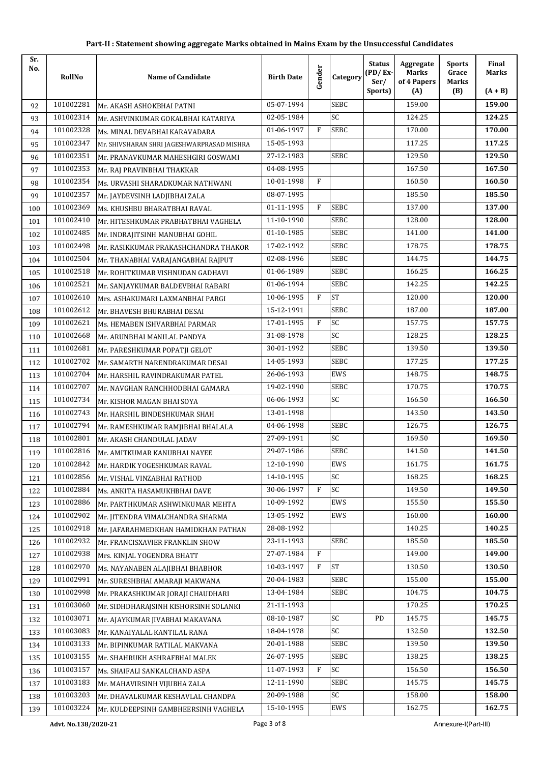| Sr.<br>No. | RollNo    | <b>Name of Candidate</b>                   | <b>Birth Date</b> | Gender | Category        | <b>Status</b><br>$(PD/Ex-$<br>Ser/ | Aggregate<br><b>Marks</b><br>of 4 Papers | <b>Sports</b><br>Grace<br>Marks | Final<br>Marks |
|------------|-----------|--------------------------------------------|-------------------|--------|-----------------|------------------------------------|------------------------------------------|---------------------------------|----------------|
|            |           |                                            |                   |        |                 | Sports)                            | (A)                                      | (B)                             | $(A + B)$      |
| 92         | 101002281 | Mr. AKASH ASHOKBHAI PATNI                  | 05-07-1994        |        | <b>SEBC</b>     |                                    | 159.00                                   |                                 | 159.00         |
| 93         | 101002314 | Mr. ASHVINKUMAR GOKALBHAI KATARIYA         | 02-05-1984        |        | SC              |                                    | 124.25                                   |                                 | 124.25         |
| 94         | 101002328 | Ms. MINAL DEVABHAI KARAVADARA              | 01-06-1997        | F      | <b>SEBC</b>     |                                    | 170.00                                   |                                 | 170.00         |
| 95         | 101002347 | Mr. SHIVSHARAN SHRI JAGESHWARPRASAD MISHRA | 15-05-1993        |        |                 |                                    | 117.25                                   |                                 | 117.25         |
| 96         | 101002351 | Mr. PRANAVKUMAR MAHESHGIRI GOSWAMI         | 27-12-1983        |        | <b>SEBC</b>     |                                    | 129.50                                   |                                 | 129.50         |
| 97         | 101002353 | Mr. RAJ PRAVINBHAI THAKKAR                 | 04-08-1995        |        |                 |                                    | 167.50                                   |                                 | 167.50         |
| 98         | 101002354 | Ms. URVASHI SHARADKUMAR NATHWANI           | 10-01-1998        | F      |                 |                                    | 160.50                                   |                                 | 160.50         |
| 99         | 101002357 | Mr. JAYDEVSINH LADJIBHAI ZALA              | 08-07-1995        |        |                 |                                    | 185.50                                   |                                 | 185.50         |
| 100        | 101002369 | Ms. KHUSHBU BHARATBHAI RAVAL               | 01-11-1995        | F      | <b>SEBC</b>     |                                    | 137.00                                   |                                 | 137.00         |
| 101        | 101002410 | Mr. HITESHKUMAR PRABHATBHAI VAGHELA        | 11-10-1990        |        | <b>SEBC</b>     |                                    | 128.00                                   |                                 | 128.00         |
| 102        | 101002485 | Mr. INDRAJITSINH MANUBHAI GOHIL            | 01-10-1985        |        | <b>SEBC</b>     |                                    | 141.00                                   |                                 | 141.00         |
| 103        | 101002498 | Mr. RASIKKUMAR PRAKASHCHANDRA THAKOR       | 17-02-1992        |        | <b>SEBC</b>     |                                    | 178.75                                   |                                 | 178.75         |
| 104        | 101002504 | Mr. THANABHAI VARAJANGABHAI RAJPUT         | 02-08-1996        |        | SEBC            |                                    | 144.75                                   |                                 | 144.75         |
| 105        | 101002518 | Mr. ROHITKUMAR VISHNUDAN GADHAVI           | 01-06-1989        |        | <b>SEBC</b>     |                                    | 166.25                                   |                                 | 166.25         |
| 106        | 101002521 | Mr. SANJAYKUMAR BALDEVBHAI RABARI          | 01-06-1994        |        | <b>SEBC</b>     |                                    | 142.25                                   |                                 | 142.25         |
| 107        | 101002610 | Mrs. ASHAKUMARI LAXMANBHAI PARGI           | 10-06-1995        | F      | <b>ST</b>       |                                    | 120.00                                   |                                 | 120.00         |
| 108        | 101002612 | Mr. BHAVESH BHURABHAI DESAI                | 15-12-1991        |        | SEBC            |                                    | 187.00                                   |                                 | 187.00         |
| 109        | 101002621 | Ms. HEMABEN ISHVARBHAI PARMAR              | 17-01-1995        | F      | SC              |                                    | 157.75                                   |                                 | 157.75         |
| 110        | 101002668 | Mr. ARUNBHAI MANILAL PANDYA                | 31-08-1978        |        | SC              |                                    | 128.25                                   |                                 | 128.25         |
| 111        | 101002681 | Mr. PARESHKUMAR POPATJI GELOT              | 30-01-1992        |        | <b>SEBC</b>     |                                    | 139.50                                   |                                 | 139.50         |
| 112        | 101002702 | Mr. SAMARTH NARENDRAKUMAR DESAI            | 14-05-1993        |        | <b>SEBC</b>     |                                    | 177.25                                   |                                 | 177.25         |
| 113        | 101002704 | Mr. HARSHIL RAVINDRAKUMAR PATEL            | 26-06-1993        |        | EWS             |                                    | 148.75                                   |                                 | 148.75         |
| 114        | 101002707 | Mr. NAVGHAN RANCHHODBHAI GAMARA            | 19-02-1990        |        | <b>SEBC</b>     |                                    | 170.75                                   |                                 | 170.75         |
| 115        | 101002734 | Mr. KISHOR MAGAN BHAI SOYA                 | 06-06-1993        |        | $\overline{SC}$ |                                    | 166.50                                   |                                 | 166.50         |
| 116        | 101002743 | Mr. HARSHIL BINDESHKUMAR SHAH              | 13-01-1998        |        |                 |                                    | 143.50                                   |                                 | 143.50         |
| 117        | 101002794 | Mr. RAMESHKUMAR RAMJIBHAI BHALALA          | 04-06-1998        |        | <b>SEBC</b>     |                                    | 126.75                                   |                                 | 126.75         |
| 118        | 101002801 | Mr. AKASH CHANDULAL JADAV                  | 27-09-1991        |        | SC              |                                    | 169.50                                   |                                 | 169.50         |
| 119        | 101002816 | Mr. AMITKUMAR KANUBHAI NAYEE               | 29-07-1986        |        | <b>SEBC</b>     |                                    | 141.50                                   |                                 | 141.50         |
| 120        | 101002842 | Mr. HARDIK YOGESHKUMAR RAVAL               | 12-10-1990        |        | EWS             |                                    | 161.75                                   |                                 | 161.75         |
| 121        | 101002856 | Mr. VISHAL VINZABHAI RATHOD                | 14-10-1995        |        | SC              |                                    | 168.25                                   |                                 | 168.25         |
| 122        | 101002884 | Ms. ANKITA HASAMUKHBHAI DAVE               | 30-06-1997        | F      | SC              |                                    | 149.50                                   |                                 | 149.50         |
| 123        | 101002886 | Mr. PARTHKUMAR ASHWINKUMAR MEHTA           | 10-09-1992        |        | EWS             |                                    | 155.50                                   |                                 | 155.50         |
| 124        | 101002902 | Mr. JITENDRA VIMALCHANDRA SHARMA           | 13-05-1992        |        | EWS             |                                    | 160.00                                   |                                 | 160.00         |
| 125        | 101002918 | Mr. JAFARAHMEDKHAN HAMIDKHAN PATHAN        | 28-08-1992        |        |                 |                                    | 140.25                                   |                                 | 140.25         |
| 126        | 101002932 | Mr. FRANCISXAVIER FRANKLIN SHOW            | 23-11-1993        |        | SEBC            |                                    | 185.50                                   |                                 | 185.50         |
| 127        | 101002938 | Mrs. KINJAL YOGENDRA BHATT                 | 27-07-1984        | F      |                 |                                    | 149.00                                   |                                 | 149.00         |
| 128        | 101002970 | Ms. NAYANABEN ALAJIBHAI BHABHOR            | 10-03-1997        | F      | <b>ST</b>       |                                    | 130.50                                   |                                 | 130.50         |
| 129        | 101002991 | Mr. SURESHBHAI AMARAJI MAKWANA             | 20-04-1983        |        | SEBC            |                                    | 155.00                                   |                                 | 155.00         |
| 130        | 101002998 | Mr. PRAKASHKUMAR JORAJI CHAUDHARI          | 13-04-1984        |        | SEBC            |                                    | 104.75                                   |                                 | 104.75         |
| 131        | 101003060 | Mr. SIDHDHARAJSINH KISHORSINH SOLANKI      | 21-11-1993        |        |                 |                                    | 170.25                                   |                                 | 170.25         |
| 132        | 101003071 | Mr. AJAYKUMAR JIVABHAI MAKAVANA            | 08-10-1987        |        | SC              | PD                                 | 145.75                                   |                                 | 145.75         |
| 133        | 101003083 | Mr. KANAIYALAL KANTILAL RANA               | 18-04-1978        |        | SC              |                                    | 132.50                                   |                                 | 132.50         |
| 134        | 101003133 | Mr. BIPINKUMAR RATILAL MAKVANA             | 20-01-1988        |        | SEBC            |                                    | 139.50                                   |                                 | 139.50         |
| 135        | 101003155 | Mr. SHAHRUKH ASHRAFBHAI MALEK              | 26-07-1995        |        | SEBC            |                                    | 138.25                                   |                                 | 138.25         |
| 136        | 101003157 | Ms. SHAIFALI SANKALCHAND ASPA              | 11-07-1993        | F      | SC              |                                    | 156.50                                   |                                 | 156.50         |
| 137        | 101003183 | Mr. MAHAVIRSINH VIJUBHA ZALA               | 12-11-1990        |        | SEBC            |                                    | 145.75                                   |                                 | 145.75         |
| 138        | 101003203 | Mr. DHAVALKUMAR KESHAVLAL CHANDPA          | 20-09-1988        |        | SC              |                                    | 158.00                                   |                                 | 158.00         |
| 139        | 101003224 | Mr. KULDEEPSINH GAMBHEERSINH VAGHELA       | 15-10-1995        |        | EWS             |                                    | 162.75                                   |                                 | 162.75         |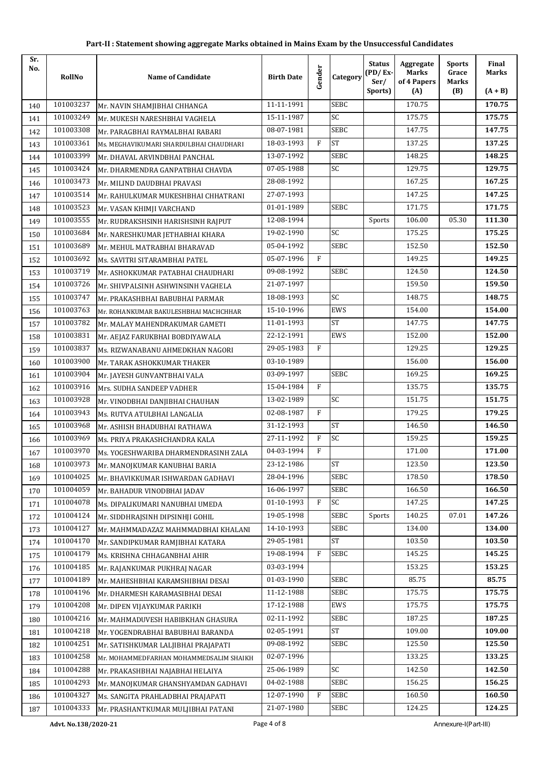| Sr.<br>No. | RollNo               | <b>Name of Candidate</b>                | <b>Birth Date</b> | Gender | Category    | <b>Status</b><br>$(PD/Ex-$<br>Ser/ | Aggregate<br><b>Marks</b><br>of 4 Papers | <b>Sports</b><br>Grace<br><b>Marks</b> | Final<br><b>Marks</b> |
|------------|----------------------|-----------------------------------------|-------------------|--------|-------------|------------------------------------|------------------------------------------|----------------------------------------|-----------------------|
|            |                      |                                         |                   |        |             | Sports)                            | (A)                                      | (B)                                    | $(A + B)$             |
| 140        | 101003237            | Mr. NAVIN SHAMJIBHAI CHHANGA            | 11-11-1991        |        | <b>SEBC</b> |                                    | 170.75                                   |                                        | 170.75                |
| 141        | 101003249            | Mr. MUKESH NARESHBHAI VAGHELA           | 15-11-1987        |        | SC          |                                    | 175.75                                   |                                        | 175.75                |
| 142        | 101003308            | Mr. PARAGBHAI RAYMALBHAI RABARI         | 08-07-1981        |        | <b>SEBC</b> |                                    | 147.75                                   |                                        | 147.75                |
| 143        | 101003361            | Ms. MEGHAVIKUMARI SHARDULBHAI CHAUDHARI | 18-03-1993        | F      | <b>ST</b>   |                                    | 137.25                                   |                                        | 137.25                |
| 144        | 101003399            | Mr. DHAVAL ARVINDBHAI PANCHAL           | 13-07-1992        |        | <b>SEBC</b> |                                    | 148.25                                   |                                        | 148.25                |
| 145        | 101003424            | Mr. DHARMENDRA GANPATBHAI CHAVDA        | 07-05-1988        |        | SC          |                                    | 129.75                                   |                                        | 129.75                |
| 146        | 101003473            | Mr. MILIND DAUDBHAI PRAVASI             | 28-08-1992        |        |             |                                    | 167.25                                   |                                        | 167.25                |
| 147        | 101003514            | Mr. RAHULKUMAR MUKESHBHAI CHHATRANI     | 27-07-1993        |        |             |                                    | 147.25                                   |                                        | 147.25                |
| 148        | 101003523            | Mr. VASAN KHIMJI VARCHAND               | 01-01-1989        |        | <b>SEBC</b> |                                    | 171.75                                   |                                        | 171.75                |
| 149        | 101003555            | Mr. RUDRAKSHSINH HARISHSINH RAJPUT      | 12-08-1994        |        |             | Sports                             | 106.00                                   | 05.30                                  | 111.30                |
| 150        | 101003684            | Mr. NARESHKUMAR JETHABHAI KHARA         | 19-02-1990        |        | SC          |                                    | 175.25                                   |                                        | 175.25                |
| 151        | 101003689            | Mr. MEHUL MATRABHAI BHARAVAD            | 05-04-1992        |        | <b>SEBC</b> |                                    | 152.50                                   |                                        | 152.50                |
| 152        | 101003692            | Ms. SAVITRI SITARAMBHAI PATEL           | 05-07-1996        | F      |             |                                    | 149.25                                   |                                        | 149.25                |
| 153        | 101003719            | Mr. ASHOKKUMAR PATABHAI CHAUDHARI       | 09-08-1992        |        | SEBC        |                                    | 124.50                                   |                                        | 124.50                |
| 154        | 101003726            | Mr. SHIVPALSINH ASHWINSINH VAGHELA      | 21-07-1997        |        |             |                                    | 159.50                                   |                                        | 159.50                |
| 155        | 101003747            | Mr. PRAKASHBHAI BABUBHAI PARMAR         | 18-08-1993        |        | SC          |                                    | 148.75                                   |                                        | 148.75                |
| 156        | 101003763            | Mr. ROHANKUMAR BAKULESHBHAI MACHCHHAR   | 15-10-1996        |        | <b>EWS</b>  |                                    | 154.00                                   |                                        | 154.00                |
| 157        | 101003782            | Mr. MALAY MAHENDRAKUMAR GAMETI          | 11-01-1993        |        | <b>ST</b>   |                                    | 147.75                                   |                                        | 147.75                |
| 158        | 101003831            | Mr. AEJAZ FARUKBHAI BOBDIYAWALA         | 22-12-1991        |        | <b>EWS</b>  |                                    | 152.00                                   |                                        | 152.00                |
| 159        | 101003837            | Ms. RIZWANABANU AHMEDKHAN NAGORI        | 29-05-1983        | F      |             |                                    | 129.25                                   |                                        | 129.25                |
| 160        | 101003900            | Mr. TARAK ASHOKKUMAR THAKER             | 03-10-1989        |        |             |                                    | 156.00                                   |                                        | 156.00                |
| 161        | 101003904            | Mr. JAYESH GUNVANTBHAI VALA             | 03-09-1997        |        | <b>SEBC</b> |                                    | 169.25                                   |                                        | 169.25                |
| 162        | 101003916            | Mrs. SUDHA SANDEEP VADHER               | 15-04-1984        | F      |             |                                    | 135.75                                   |                                        | 135.75                |
| 163        | 101003928            | Mr. VINODBHAI DANJIBHAI CHAUHAN         | 13-02-1989        |        | SC          |                                    | 151.75                                   |                                        | 151.75                |
| 164        | 101003943            | Ms. RUTVA ATULBHAI LANGALIA             | 02-08-1987        | F      |             |                                    | 179.25                                   |                                        | 179.25                |
| 165        | 101003968            | Mr. ASHISH BHADUBHAI RATHAWA            | 31-12-1993        |        | <b>ST</b>   |                                    | 146.50                                   |                                        | 146.50                |
| 166        | 101003969            | Ms. PRIYA PRAKASHCHANDRA KALA           | 27-11-1992        | F      | <b>SC</b>   |                                    | 159.25                                   |                                        | 159.25                |
| 167        | 101003970            | Ms. YOGESHWARIBA DHARMENDRASINH ZALA    | 04-03-1994        | F      |             |                                    | 171.00                                   |                                        | 171.00                |
| 168        | 101003973            | Mr. MANOJKUMAR KANUBHAI BARIA           | 23-12-1986        |        | <b>ST</b>   |                                    | 123.50                                   |                                        | 123.50                |
| 169        | 101004025            | Mr. BHAVIKKUMAR ISHWARDAN GADHAVI       | 28-04-1996        |        | <b>SEBC</b> |                                    | 178.50                                   |                                        | 178.50                |
| 170        | 101004059            | Mr. BAHADUR VINODBHAI JADAV             | 16-06-1997        |        | SEBC        |                                    | 166.50                                   |                                        | 166.50                |
| 171        | 101004078            | Ms. DIPALIKUMARI NANUBHAI UMEDA         | 01-10-1993        | F      | SC          |                                    | 147.25                                   |                                        | 147.25                |
| 172        | 101004124            | Mr. SIDDHRAJSINH DIPSINHJI GOHIL        | 19-05-1998        |        | <b>SEBC</b> | Sports                             | 140.25                                   | 07.01                                  | 147.26                |
| 173        | 101004127            | Mr. MAHMMADAZAZ MAHMMADBHAI KHALANI     | 14-10-1993        |        | <b>SEBC</b> |                                    | 134.00                                   |                                        | 134.00                |
| 174        | 101004170            | Mr. SANDIPKUMAR RAMJIBHAI KATARA        | 29-05-1981        |        | <b>ST</b>   |                                    | 103.50                                   |                                        | 103.50                |
| 175        | 101004179            | Ms. KRISHNA CHHAGANBHAI AHIR            | 19-08-1994        | F      | <b>SEBC</b> |                                    | 145.25                                   |                                        | 145.25                |
| 176        | 101004185            | Mr. RAJANKUMAR PUKHRAJ NAGAR            | 03-03-1994        |        |             |                                    | 153.25                                   |                                        | 153.25                |
| 177        | 101004189            | Mr. MAHESHBHAI KARAMSHIBHAI DESAI       | 01-03-1990        |        | <b>SEBC</b> |                                    | 85.75                                    |                                        | 85.75                 |
| 178        | 101004196            | Mr. DHARMESH KARAMASIBHAI DESAI         | 11-12-1988        |        | <b>SEBC</b> |                                    | 175.75                                   |                                        | 175.75                |
| 179        | 101004208            | Mr. DIPEN VIJAYKUMAR PARIKH             | 17-12-1988        |        | EWS         |                                    | 175.75                                   |                                        | 175.75                |
| 180        | 101004216            | Mr. MAHMADUVESH HABIBKHAN GHASURA       | 02-11-1992        |        | <b>SEBC</b> |                                    | 187.25                                   |                                        | 187.25                |
| 181        | 101004218            | Mr. YOGENDRABHAI BABUBHAI BARANDA       | 02-05-1991        |        | <b>ST</b>   |                                    | 109.00                                   |                                        | 109.00                |
| 182        | 101004251            | Mr. SATISHKUMAR LALJIBHAI PRAJAPATI     | 09-08-1992        |        | <b>SEBC</b> |                                    | 125.50                                   |                                        | 125.50                |
| 183        | 101004258            | Mr. MOHAMMEDFARHAN MOHAMMEDSALIM SHAIKH | 02-07-1996        |        |             |                                    | 133.25                                   |                                        | 133.25                |
| 184        | 101004288            | Mr. PRAKASHBHAI NAJABHAI HELAIYA        | 25-06-1989        |        | SC          |                                    | 142.50                                   |                                        | 142.50                |
| 185        | 101004293            | Mr. MANOJKUMAR GHANSHYAMDAN GADHAVI     | 04-02-1988        |        | <b>SEBC</b> |                                    | 156.25                                   |                                        | 156.25                |
| 186        | 101004327            | Ms. SANGITA PRAHLADBHAI PRAJAPATI       | 12-07-1990        | F      | <b>SEBC</b> |                                    | 160.50                                   |                                        | 160.50                |
| 187        | 101004333            | Mr. PRASHANTKUMAR MULJIBHAI PATANI      | 21-07-1980        |        | <b>SEBC</b> |                                    | 124.25                                   |                                        | 124.25                |
|            | Advt. No.138/2020-21 |                                         | Page 4 of 8       |        |             |                                    |                                          | Annexure-I(Part-III)                   |                       |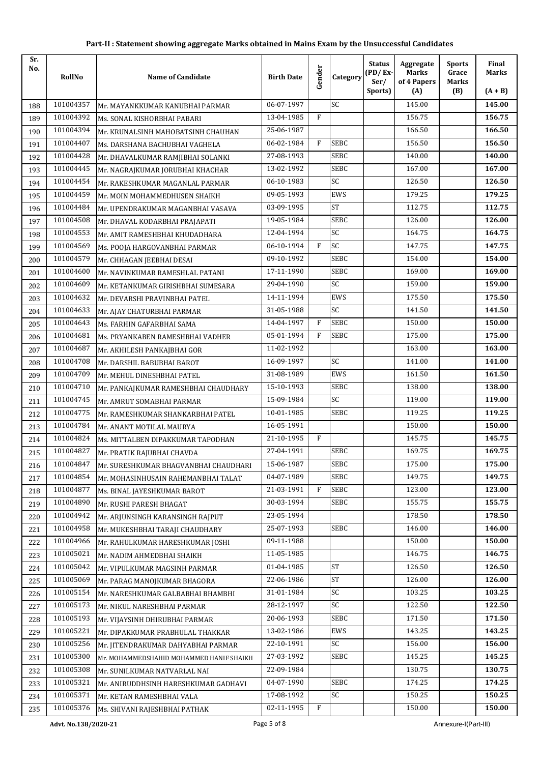| Sr.<br>No. | RollNo    | <b>Name of Candidate</b>                 | <b>Birth Date</b> | Gender | Category        | <b>Status</b><br>$(PD/Ex-$<br>Ser/ | Aggregate<br><b>Marks</b><br>of 4 Papers | <b>Sports</b><br>Grace<br>Marks | Final<br><b>Marks</b> |
|------------|-----------|------------------------------------------|-------------------|--------|-----------------|------------------------------------|------------------------------------------|---------------------------------|-----------------------|
|            |           |                                          |                   |        |                 | Sports)                            | (A)                                      | (B)                             | $(A + B)$             |
| 188        | 101004357 | Mr. MAYANKKUMAR KANUBHAI PARMAR          | 06-07-1997        |        | SC              |                                    | 145.00                                   |                                 | 145.00                |
| 189        | 101004392 | Ms. SONAL KISHORBHAI PABARI              | 13-04-1985        | F      |                 |                                    | 156.75                                   |                                 | 156.75                |
| 190        | 101004394 | Mr. KRUNALSINH MAHOBATSINH CHAUHAN       | 25-06-1987        |        |                 |                                    | 166.50                                   |                                 | 166.50                |
| 191        | 101004407 | Ms. DARSHANA BACHUBHAI VAGHELA           | 06-02-1984        | F      | <b>SEBC</b>     |                                    | 156.50                                   |                                 | 156.50                |
| 192        | 101004428 | Mr. DHAVALKUMAR RAMJIBHAI SOLANKI        | 27-08-1993        |        | <b>SEBC</b>     |                                    | 140.00                                   |                                 | 140.00                |
| 193        | 101004445 | Mr. NAGRAJKUMAR JORUBHAI KHACHAR         | 13-02-1992        |        | <b>SEBC</b>     |                                    | 167.00                                   |                                 | 167.00                |
| 194        | 101004454 | Mr. RAKESHKUMAR MAGANLAL PARMAR          | 06-10-1983        |        | SC              |                                    | 126.50                                   |                                 | 126.50                |
| 195        | 101004459 | Mr. MOIN MOHAMMEDHUSEN SHAIKH            | 09-05-1993        |        | EWS             |                                    | 179.25                                   |                                 | 179.25                |
| 196        | 101004484 | Mr. UPENDRAKUMAR MAGANBHAI VASAVA        | 03-09-1995        |        | <b>ST</b>       |                                    | 112.75                                   |                                 | 112.75                |
| 197        | 101004508 | Mr. DHAVAL KODARBHAI PRAJAPATI           | 19-05-1984        |        | <b>SEBC</b>     |                                    | 126.00                                   |                                 | 126.00                |
| 198        | 101004553 | Mr. AMIT RAMESHBHAI KHUDADHARA           | 12-04-1994        |        | <b>SC</b>       |                                    | 164.75                                   |                                 | 164.75                |
| 199        | 101004569 | Ms. POOJA HARGOVANBHAI PARMAR            | 06-10-1994        | F      | <b>SC</b>       |                                    | 147.75                                   |                                 | 147.75                |
| 200        | 101004579 | Mr. CHHAGAN JEEBHAI DESAI                | 09-10-1992        |        | <b>SEBC</b>     |                                    | 154.00                                   |                                 | 154.00                |
| 201        | 101004600 | Mr. NAVINKUMAR RAMESHLAL PATANI          | 17-11-1990        |        | <b>SEBC</b>     |                                    | 169.00                                   |                                 | 169.00                |
| 202        | 101004609 | Mr. KETANKUMAR GIRISHBHAI SUMESARA       | 29-04-1990        |        | $\overline{SC}$ |                                    | 159.00                                   |                                 | 159.00                |
| 203        | 101004632 | Mr. DEVARSHI PRAVINBHAI PATEL            | 14-11-1994        |        | <b>EWS</b>      |                                    | 175.50                                   |                                 | 175.50                |
| 204        | 101004633 | Mr. AJAY CHATURBHAI PARMAR               | 31-05-1988        |        | SC              |                                    | 141.50                                   |                                 | 141.50                |
| 205        | 101004643 | Ms. FARHIN GAFARBHAI SAMA                | 14-04-1997        | F      | <b>SEBC</b>     |                                    | 150.00                                   |                                 | 150.00                |
| 206        | 101004681 | Ms. PRYANKABEN RAMESHBHAI VADHER         | 05-01-1994        | F      | SEBC            |                                    | 175.00                                   |                                 | 175.00                |
| 207        | 101004687 | Mr. AKHILESH PANKAJBHAI GOR              | 11-02-1992        |        |                 |                                    | 163.00                                   |                                 | 163.00                |
| 208        | 101004708 | Mr. DARSHIL BABUBHAI BAROT               | 16-09-1997        |        | <b>SC</b>       |                                    | 141.00                                   |                                 | 141.00                |
| 209        | 101004709 | Mr. MEHUL DINESHBHAI PATEL               | 31-08-1989        |        | EWS             |                                    | 161.50                                   |                                 | 161.50                |
| 210        | 101004710 | Mr. PANKAJKUMAR RAMESHBHAI CHAUDHARY     | 15-10-1993        |        | <b>SEBC</b>     |                                    | 138.00                                   |                                 | 138.00                |
| 211        | 101004745 | Mr. AMRUT SOMABHAI PARMAR                | 15-09-1984        |        | SC              |                                    | 119.00                                   |                                 | 119.00                |
| 212        | 101004775 | Mr. RAMESHKUMAR SHANKARBHAI PATEL        | 10-01-1985        |        | <b>SEBC</b>     |                                    | 119.25                                   |                                 | 119.25                |
| 213        | 101004784 | Mr. ANANT MOTILAL MAURYA                 | 16-05-1991        |        |                 |                                    | 150.00                                   |                                 | 150.00                |
| 214        | 101004824 | Ms. MITTALBEN DIPAKKUMAR TAPODHAN        | 21-10-1995        | F      |                 |                                    | 145.75                                   |                                 | 145.75                |
| 215        | 101004827 | Mr. PRATIK RAJUBHAI CHAVDA               | 27-04-1991        |        | SEBC            |                                    | 169.75                                   |                                 | 169.75                |
| 216        | 101004847 | Mr. SURESHKUMAR BHAGVANBHAI CHAUDHARI    | 15-06-1987        |        | <b>SEBC</b>     |                                    | 175.00                                   |                                 | 175.00                |
| 217        | 101004854 | Mr. MOHASINHUSAIN RAHEMANBHAI TALAT      | 04-07-1989        |        | SEBC            |                                    | 149.75                                   |                                 | 149.75                |
| 218        | 101004877 | Ms. BINAL JAYESHKUMAR BAROT              | 21-03-1991        | F      | SEBC            |                                    | 123.00                                   |                                 | 123.00                |
| 219        | 101004890 | Mr. RUSHI PARESH BHAGAT                  | 30-03-1994        |        | SEBC            |                                    | 155.75                                   |                                 | 155.75                |
| 220        | 101004942 | Mr. ARJUNSINGH KARANSINGH RAJPUT         | 23-05-1994        |        |                 |                                    | 178.50                                   |                                 | 178.50                |
| 221        | 101004958 | Mr. MUKESHBHAI TARAJI CHAUDHARY          | 25-07-1993        |        | SEBC            |                                    | 146.00                                   |                                 | 146.00                |
| 222        | 101004966 | Mr. RAHULKUMAR HARESHKUMAR JOSHI         | 09-11-1988        |        |                 |                                    | 150.00                                   |                                 | 150.00                |
| 223        | 101005021 | Mr. NADIM AHMEDBHAI SHAIKH               | 11-05-1985        |        |                 |                                    | 146.75                                   |                                 | 146.75                |
| 224        | 101005042 | Mr. VIPULKUMAR MAGSINH PARMAR            | 01-04-1985        |        | <b>ST</b>       |                                    | 126.50                                   |                                 | 126.50                |
| 225        | 101005069 | Mr. PARAG MANOJKUMAR BHAGORA             | 22-06-1986        |        | <b>ST</b>       |                                    | 126.00                                   |                                 | 126.00                |
| 226        | 101005154 | Mr. NARESHKUMAR GALBABHAI BHAMBHI        | 31-01-1984        |        | SC              |                                    | 103.25                                   |                                 | 103.25                |
| 227        | 101005173 | Mr. NIKUL NARESHBHAI PARMAR              | 28-12-1997        |        | SC              |                                    | 122.50                                   |                                 | 122.50                |
| 228        | 101005193 | Mr. VIJAYSINH DHIRUBHAI PARMAR           | 20-06-1993        |        | <b>SEBC</b>     |                                    | 171.50                                   |                                 | 171.50                |
| 229        | 101005221 | Mr. DIPAKKUMAR PRABHULAL THAKKAR         | 13-02-1986        |        | EWS             |                                    | 143.25                                   |                                 | 143.25                |
| 230        | 101005256 | Mr. JITENDRAKUMAR DAHYABHAI PARMAR       | 22-10-1991        |        | $\mathsf{SC}$   |                                    | 156.00                                   |                                 | 156.00                |
| 231        | 101005300 | Mr. MOHAMMEDSHAHID MOHAMMED HANIF SHAIKH | 27-03-1992        |        | SEBC            |                                    | 145.25                                   |                                 | 145.25                |
| 232        | 101005308 | Mr. SUNILKUMAR NATVARLAL NAI             | 22-09-1984        |        |                 |                                    | 130.75                                   |                                 | 130.75                |
| 233        | 101005321 | Mr. ANIRUDDHSINH HARESHKUMAR GADHAVI     | 04-07-1990        |        | SEBC            |                                    | 174.25                                   |                                 | 174.25                |
| 234        | 101005371 | Mr. KETAN RAMESHBHAI VALA                | 17-08-1992        |        | SC              |                                    | 150.25                                   |                                 | 150.25                |
| 235        | 101005376 | Ms. SHIVANI RAJESHBHAI PATHAK            | 02-11-1995        | F      |                 |                                    | 150.00                                   |                                 | 150.00                |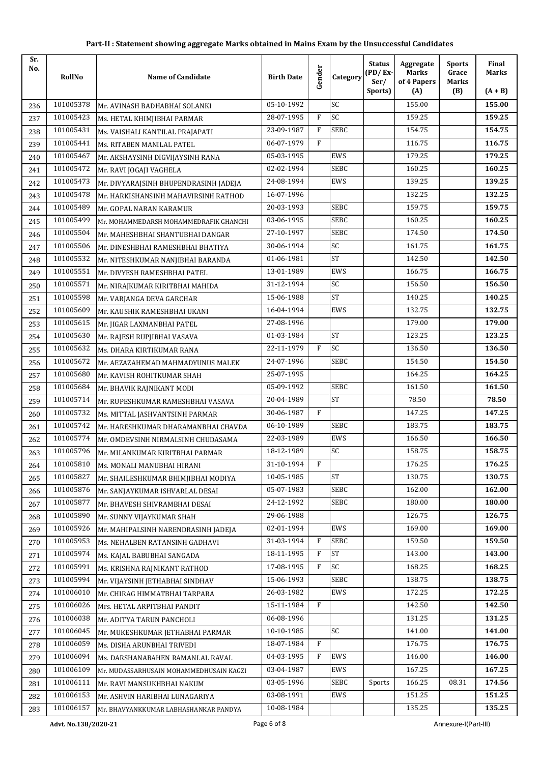| Sr.<br>No. | RollNo    | <b>Name of Candidate</b>                | <b>Birth Date</b> | Gender       | Category    | <b>Status</b><br>$(PD/Ex-$<br>Ser/ | Aggregate<br><b>Marks</b><br>of 4 Papers | <b>Sports</b><br>Grace<br>Marks | Final<br><b>Marks</b> |
|------------|-----------|-----------------------------------------|-------------------|--------------|-------------|------------------------------------|------------------------------------------|---------------------------------|-----------------------|
|            |           |                                         |                   |              |             | Sports)                            | (A)                                      | (B)                             | $(A + B)$             |
| 236        | 101005378 | Mr. AVINASH BADHABHAI SOLANKI           | 05-10-1992        |              | SC          |                                    | 155.00                                   |                                 | 155.00                |
| 237        | 101005423 | Ms. HETAL KHIMJIBHAI PARMAR             | 28-07-1995        | F            | SC          |                                    | 159.25                                   |                                 | 159.25                |
| 238        | 101005431 | Ms. VAISHALI KANTILAL PRAJAPATI         | 23-09-1987        | F            | <b>SEBC</b> |                                    | 154.75                                   |                                 | 154.75                |
| 239        | 101005441 | Ms. RITABEN MANILAL PATEL               | 06-07-1979        | F            |             |                                    | 116.75                                   |                                 | 116.75                |
| 240        | 101005467 | Mr. AKSHAYSINH DIGVIJAYSINH RANA        | 05-03-1995        |              | EWS         |                                    | 179.25                                   |                                 | 179.25                |
| 241        | 101005472 | Mr. RAVI JOGAJI VAGHELA                 | 02-02-1994        |              | <b>SEBC</b> |                                    | 160.25                                   |                                 | 160.25                |
| 242        | 101005473 | Mr. DIVYARAJSINH BHUPENDRASINH JADEJA   | 24-08-1994        |              | <b>EWS</b>  |                                    | 139.25                                   |                                 | 139.25                |
| 243        | 101005478 | Mr. HARKISHANSINH MAHAVIRSINH RATHOD    | 16-07-1996        |              |             |                                    | 132.25                                   |                                 | 132.25                |
| 244        | 101005489 | Mr. GOPAL NARAN KARAMUR                 | 20-03-1993        |              | <b>SEBC</b> |                                    | 159.75                                   |                                 | 159.75                |
| 245        | 101005499 | Mr. MOHAMMEDARSH MOHAMMEDRAFIK GHANCHI  | 03-06-1995        |              | <b>SEBC</b> |                                    | 160.25                                   |                                 | 160.25                |
| 246        | 101005504 | Mr. MAHESHBHAI SHANTUBHAI DANGAR        | 27-10-1997        |              | <b>SEBC</b> |                                    | 174.50                                   |                                 | 174.50                |
| 247        | 101005506 | Mr. DINESHBHAI RAMESHBHAI BHATIYA       | 30-06-1994        |              | SC          |                                    | 161.75                                   |                                 | 161.75                |
| 248        | 101005532 | Mr. NITESHKUMAR NANJIBHAI BARANDA       | 01-06-1981        |              | <b>ST</b>   |                                    | 142.50                                   |                                 | 142.50                |
| 249        | 101005551 | Mr. DIVYESH RAMESHBHAI PATEL            | 13-01-1989        |              | <b>EWS</b>  |                                    | 166.75                                   |                                 | 166.75                |
| 250        | 101005571 | Mr. NIRAJKUMAR KIRITBHAI MAHIDA         | 31-12-1994        |              | SC          |                                    | 156.50                                   |                                 | 156.50                |
| 251        | 101005598 | Mr. VARJANGA DEVA GARCHAR               | 15-06-1988        |              | <b>ST</b>   |                                    | 140.25                                   |                                 | 140.25                |
| 252        | 101005609 | Mr. KAUSHIK RAMESHBHAI UKANI            | 16-04-1994        |              | EWS         |                                    | 132.75                                   |                                 | 132.75                |
| 253        | 101005615 | Mr. JIGAR LAXMANBHAI PATEL              | 27-08-1996        |              |             |                                    | 179.00                                   |                                 | 179.00                |
| 254        | 101005630 | Mr. RAJESH RUPJIBHAI VASAVA             | 01-03-1984        |              | <b>ST</b>   |                                    | 123.25                                   |                                 | 123.25                |
| 255        | 101005632 | Ms. DHARA KIRTIKUMAR RANA               | 22-11-1979        | F            | SC          |                                    | 136.50                                   |                                 | 136.50                |
| 256        | 101005672 | Mr. AEZAZAHEMAD MAHMADYUNUS MALEK       | 24-07-1996        |              | <b>SEBC</b> |                                    | 154.50                                   |                                 | 154.50                |
| 257        | 101005680 | Mr. KAVISH ROHITKUMAR SHAH              | 25-07-1995        |              |             |                                    | 164.25                                   |                                 | 164.25                |
| 258        | 101005684 | Mr. BHAVIK RAJNIKANT MODI               | 05-09-1992        |              | <b>SEBC</b> |                                    | 161.50                                   |                                 | 161.50                |
| 259        | 101005714 | Mr. RUPESHKUMAR RAMESHBHAI VASAVA       | 20-04-1989        |              | <b>ST</b>   |                                    | 78.50                                    |                                 | 78.50                 |
| 260        | 101005732 | Ms. MITTAL JASHVANTSINH PARMAR          | 30-06-1987        | F            |             |                                    | 147.25                                   |                                 | 147.25                |
| 261        | 101005742 | Mr. HARESHKUMAR DHARAMANBHAI CHAVDA     | 06-10-1989        |              | <b>SEBC</b> |                                    | 183.75                                   |                                 | 183.75                |
| 262        | 101005774 | Mr. OMDEVSINH NIRMALSINH CHUDASAMA      | 22-03-1989        |              | EWS         |                                    | 166.50                                   |                                 | 166.50                |
| 263        | 101005796 | Mr. MILANKUMAR KIRITBHAI PARMAR         | 18-12-1989        |              | SC          |                                    | 158.75                                   |                                 | 158.75                |
| 264        | 101005810 | Ms. MONALI MANUBHAI HIRANI              | 31-10-1994        | F            |             |                                    | 176.25                                   |                                 | 176.25                |
| 265        | 101005827 | Mr. SHAILESHKUMAR BHIMJIBHAI MODIYA     | 10-05-1985        |              | ST          |                                    | 130.75                                   |                                 | 130.75                |
| 266        | 101005876 | Mr. SANJAYKUMAR ISHVARLAL DESAI         | 05-07-1983        |              | SEBC        |                                    | 162.00                                   |                                 | 162.00                |
| 267        | 101005877 | Mr. BHAVESH SHIVRAMBHAI DESAI           | 24-12-1992        |              | SEBC        |                                    | 180.00                                   |                                 | 180.00                |
| 268        | 101005890 | Mr. SUNNY VIJAYKUMAR SHAH               | 29-06-1988        |              |             |                                    | 126.75                                   |                                 | 126.75                |
| 269        | 101005926 | Mr. MAHIPALSINH NARENDRASINH JADEJA     | 02-01-1994        |              | EWS         |                                    | 169.00                                   |                                 | 169.00                |
| 270        | 101005953 | Ms. NEHALBEN RATANSINH GADHAVI          | 31-03-1994        | F            | SEBC        |                                    | 159.50                                   |                                 | 159.50                |
| 271        | 101005974 | Ms. KAJAL BABUBHAI SANGADA              | 18-11-1995        | F            | ST          |                                    | 143.00                                   |                                 | 143.00                |
| 272        | 101005991 | Ms. KRISHNA RAJNIKANT RATHOD            | 17-08-1995        | $\mathbf{F}$ | SC          |                                    | 168.25                                   |                                 | 168.25                |
| 273        | 101005994 | Mr. VIJAYSINH JETHABHAI SINDHAV         | 15-06-1993        |              | <b>SEBC</b> |                                    | 138.75                                   |                                 | 138.75                |
| 274        | 101006010 | Mr. CHIRAG HIMMATBHAI TARPARA           | 26-03-1982        |              | EWS         |                                    | 172.25                                   |                                 | 172.25                |
| 275        | 101006026 | Mrs. HETAL ARPITBHAI PANDIT             | 15-11-1984        | F            |             |                                    | 142.50                                   |                                 | 142.50                |
| 276        | 101006038 | Mr. ADITYA TARUN PANCHOLI               | 06-08-1996        |              |             |                                    | 131.25                                   |                                 | 131.25                |
| 277        | 101006045 | Mr. MUKESHKUMAR JETHABHAI PARMAR        | 10-10-1985        |              | SC          |                                    | 141.00                                   |                                 | 141.00                |
| 278        | 101006059 | Ms. DISHA ARUNBHAI TRIVEDI              | 18-07-1984        | F            |             |                                    | 176.75                                   |                                 | 176.75                |
| 279        | 101006094 | Ms. DARSHANABAHEN RAMANLAL RAVAL        | 04-03-1995        | F            | EWS         |                                    | 146.00                                   |                                 | 146.00                |
| 280        | 101006109 | Mr. MUDASSARHUSAIN MOHAMMEDHUSAIN KAGZI | 03-04-1987        |              | EWS         |                                    | 167.25                                   |                                 | 167.25                |
| 281        | 101006111 | Mr. RAVI MANSUKHBHAI NAKUM              | 03-05-1996        |              | <b>SEBC</b> | Sports                             | 166.25                                   | 08.31                           | 174.56                |
| 282        | 101006153 | Mr. ASHVIN HARIBHAI LUNAGARIYA          | 03-08-1991        |              | EWS         |                                    | 151.25                                   |                                 | 151.25                |
| 283        | 101006157 | Mr. BHAVYANKKUMAR LABHASHANKAR PANDYA   | 10-08-1984        |              |             |                                    | 135.25                                   |                                 | 135.25                |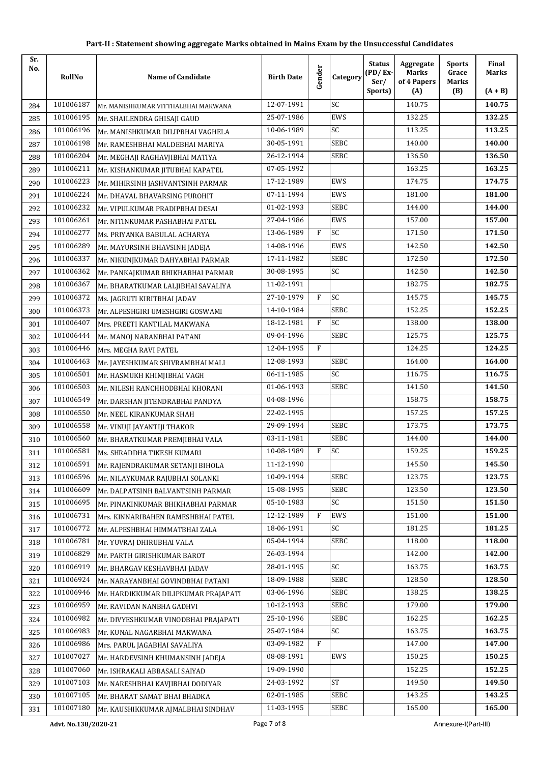| Sr.<br>No. | RollNo               | <b>Name of Candidate</b>             | <b>Birth Date</b> | Gender | Category    | <b>Status</b><br>$(PD/Ex-$<br>Ser/ | Aggregate<br><b>Marks</b><br>of 4 Papers | <b>Sports</b><br>Grace<br><b>Marks</b> | Final<br><b>Marks</b> |
|------------|----------------------|--------------------------------------|-------------------|--------|-------------|------------------------------------|------------------------------------------|----------------------------------------|-----------------------|
|            |                      |                                      |                   |        |             | Sports)                            | (A)                                      | (B)                                    | $(A + B)$             |
| 284        | 101006187            | Mr. MANISHKUMAR VITTHALBHAI MAKWANA  | 12-07-1991        |        | SC          |                                    | 140.75                                   |                                        | 140.75                |
| 285        | 101006195            | Mr. SHAILENDRA GHISAJI GAUD          | 25-07-1986        |        | EWS         |                                    | 132.25                                   |                                        | 132.25                |
| 286        | 101006196            | Mr. MANISHKUMAR DILIPBHAI VAGHELA    | 10-06-1989        |        | SC          |                                    | 113.25                                   |                                        | 113.25                |
| 287        | 101006198            | Mr. RAMESHBHAI MALDEBHAI MARIYA      | 30-05-1991        |        | <b>SEBC</b> |                                    | 140.00                                   |                                        | 140.00                |
| 288        | 101006204            | Mr. MEGHAJI RAGHAVJIBHAI MATIYA      | 26-12-1994        |        | <b>SEBC</b> |                                    | 136.50                                   |                                        | 136.50                |
| 289        | 101006211            | Mr. KISHANKUMAR JITUBHAI KAPATEL     | 07-05-1992        |        |             |                                    | 163.25                                   |                                        | 163.25                |
| 290        | 101006223            | Mr. MIHIRSINH JASHVANTSINH PARMAR    | 17-12-1989        |        | EWS         |                                    | 174.75                                   |                                        | 174.75                |
| 291        | 101006224            | Mr. DHAVAL BHAVARSING PUROHIT        | 07-11-1994        |        | EWS         |                                    | 181.00                                   |                                        | 181.00                |
| 292        | 101006232            | Mr. VIPULKUMAR PRADIPBHAI DESAI      | 01-02-1993        |        | <b>SEBC</b> |                                    | 144.00                                   |                                        | 144.00                |
| 293        | 101006261            | Mr. NITINKUMAR PASHABHAI PATEL       | 27-04-1986        |        | <b>EWS</b>  |                                    | 157.00                                   |                                        | 157.00                |
| 294        | 101006277            | Ms. PRIYANKA BABULAL ACHARYA         | 13-06-1989        | F      | <b>SC</b>   |                                    | 171.50                                   |                                        | 171.50                |
| 295        | 101006289            | Mr. MAYURSINH BHAVSINH JADEJA        | 14-08-1996        |        | EWS         |                                    | 142.50                                   |                                        | 142.50                |
| 296        | 101006337            | Mr. NIKUNJKUMAR DAHYABHAI PARMAR     | 17-11-1982        |        | SEBC        |                                    | 172.50                                   |                                        | 172.50                |
| 297        | 101006362            | Mr. PANKAJKUMAR BHIKHABHAI PARMAR    | 30-08-1995        |        | SC          |                                    | 142.50                                   |                                        | 142.50                |
| 298        | 101006367            | Mr. BHARATKUMAR LALJIBHAI SAVALIYA   | 11-02-1991        |        |             |                                    | 182.75                                   |                                        | 182.75                |
| 299        | 101006372            | Ms. JAGRUTI KIRITBHAI JADAV          | 27-10-1979        | F      | SC          |                                    | 145.75                                   |                                        | 145.75                |
| 300        | 101006373            | Mr. ALPESHGIRI UMESHGIRI GOSWAMI     | 14-10-1984        |        | <b>SEBC</b> |                                    | 152.25                                   |                                        | 152.25                |
| 301        | 101006407            | Mrs. PREETI KANTILAL MAKWANA         | 18-12-1981        | F      | SC          |                                    | 138.00                                   |                                        | 138.00                |
| 302        | 101006444            | Mr. MANOJ NARANBHAI PATANI           | 09-04-1996        |        | <b>SEBC</b> |                                    | 125.75                                   |                                        | 125.75                |
| 303        | 101006446            | Mrs. MEGHA RAVI PATEL                | 12-04-1995        | F      |             |                                    | 124.25                                   |                                        | 124.25                |
| 304        | 101006463            | Mr. JAYESHKUMAR SHIVRAMBHAI MALI     | 12-08-1993        |        | <b>SEBC</b> |                                    | 164.00                                   |                                        | 164.00                |
| 305        | 101006501            | Mr. HASMUKH KHIMJIBHAI VAGH          | 06-11-1985        |        | SC          |                                    | 116.75                                   |                                        | 116.75                |
| 306        | 101006503            | Mr. NILESH RANCHHODBHAI KHORANI      | 01-06-1993        |        | SEBC        |                                    | 141.50                                   |                                        | 141.50                |
| 307        | 101006549            | Mr. DARSHAN JITENDRABHAI PANDYA      | 04-08-1996        |        |             |                                    | 158.75                                   |                                        | 158.75                |
| 308        | 101006550            | Mr. NEEL KIRANKUMAR SHAH             | 22-02-1995        |        |             |                                    | 157.25                                   |                                        | 157.25                |
| 309        | 101006558            | Mr. VINUJI JAYANTIJI THAKOR          | 29-09-1994        |        | <b>SEBC</b> |                                    | 173.75                                   |                                        | 173.75                |
| 310        | 101006560            | Mr. BHARATKUMAR PREMJIBHAI VALA      | 03-11-1981        |        | SEBC        |                                    | 144.00                                   |                                        | 144.00                |
| 311        | 101006581            | Ms. SHRADDHA TIKESH KUMARI           | 10-08-1989        | F      | SC          |                                    | 159.25                                   |                                        | 159.25                |
| 312        | 101006591            | Mr. RAJENDRAKUMAR SETANJI BIHOLA     | 11-12-1990        |        |             |                                    | 145.50                                   |                                        | 145.50                |
| 313        | 101006596            | Mr. NILAYKUMAR RAJUBHAI SOLANKI      | 10-09-1994        |        | <b>SEBC</b> |                                    | 123.75                                   |                                        | 123.75                |
| 314        | 101006609            | Mr. DALPATSINH BALVANTSINH PARMAR    | 15-08-1995        |        | <b>SEBC</b> |                                    | 123.50                                   |                                        | 123.50                |
| 315        | 101006695            | Mr. PINAKINKUMAR BHIKHABHAI PARMAR   | 05-10-1983        |        | SC          |                                    | 151.50                                   |                                        | 151.50                |
| 316        | 101006731            | Mrs. KINNARIBAHEN RAMESHBHAI PATEL   | 12-12-1989        | F      | EWS         |                                    | 151.00                                   |                                        | 151.00                |
| 317        | 101006772            | Mr. ALPESHBHAI HIMMATBHAI ZALA       | 18-06-1991        |        | SC          |                                    | 181.25                                   |                                        | 181.25                |
| 318        | 101006781            | Mr. YUVRAJ DHIRUBHAI VALA            | 05-04-1994        |        | <b>SEBC</b> |                                    | 118.00                                   |                                        | 118.00                |
| 319        | 101006829            | Mr. PARTH GIRISHKUMAR BAROT          | 26-03-1994        |        |             |                                    | 142.00                                   |                                        | 142.00                |
| 320        | 101006919            | Mr. BHARGAV KESHAVBHAI JADAV         | 28-01-1995        |        | SC          |                                    | 163.75                                   |                                        | 163.75                |
| 321        | 101006924            | Mr. NARAYANBHAI GOVINDBHAI PATANI    | 18-09-1988        |        | SEBC        |                                    | 128.50                                   |                                        | 128.50                |
| 322        | 101006946            | Mr. HARDIKKUMAR DILIPKUMAR PRAJAPATI | 03-06-1996        |        | SEBC        |                                    | 138.25                                   |                                        | 138.25                |
| 323        | 101006959            | Mr. RAVIDAN NANBHA GADHVI            | 10-12-1993        |        | <b>SEBC</b> |                                    | 179.00                                   |                                        | 179.00                |
| 324        | 101006982            | Mr. DIVYESHKUMAR VINODBHAI PRAJAPATI | 25-10-1996        |        | <b>SEBC</b> |                                    | 162.25                                   |                                        | 162.25                |
| 325        | 101006983            | Mr. KUNAL NAGARBHAI MAKWANA          | 25-07-1984        |        | SC          |                                    | 163.75                                   |                                        | 163.75                |
| 326        | 101006986            | Mrs. PARUL JAGABHAI SAVALIYA         | 03-09-1982        | F      |             |                                    | 147.00                                   |                                        | 147.00                |
| 327        | 101007027            | Mr. HARDEVSINH KHUMANSINH JADEJA     | 08-08-1991        |        | EWS         |                                    | 150.25                                   |                                        | 150.25                |
| 328        | 101007060            | Mr. ISHRAKALI ABBASALI SAIYAD        | 19-09-1990        |        |             |                                    | 152.25                                   |                                        | 152.25                |
| 329        | 101007103            | Mr. NARESHBHAI KAVJIBHAI DODIYAR     | 24-03-1992        |        | <b>ST</b>   |                                    | 149.50                                   |                                        | 149.50                |
| 330        | 101007105            | Mr. BHARAT SAMAT BHAI BHADKA         | 02-01-1985        |        | SEBC        |                                    | 143.25                                   |                                        | 143.25                |
| 331        | 101007180            | Mr. KAUSHIKKUMAR AJMALBHAI SINDHAV   | 11-03-1995        |        | <b>SEBC</b> |                                    | 165.00                                   |                                        | 165.00                |
|            | Advt. No.138/2020-21 |                                      | Page 7 of 8       |        |             |                                    |                                          | Annexure-I(Part-III)                   |                       |